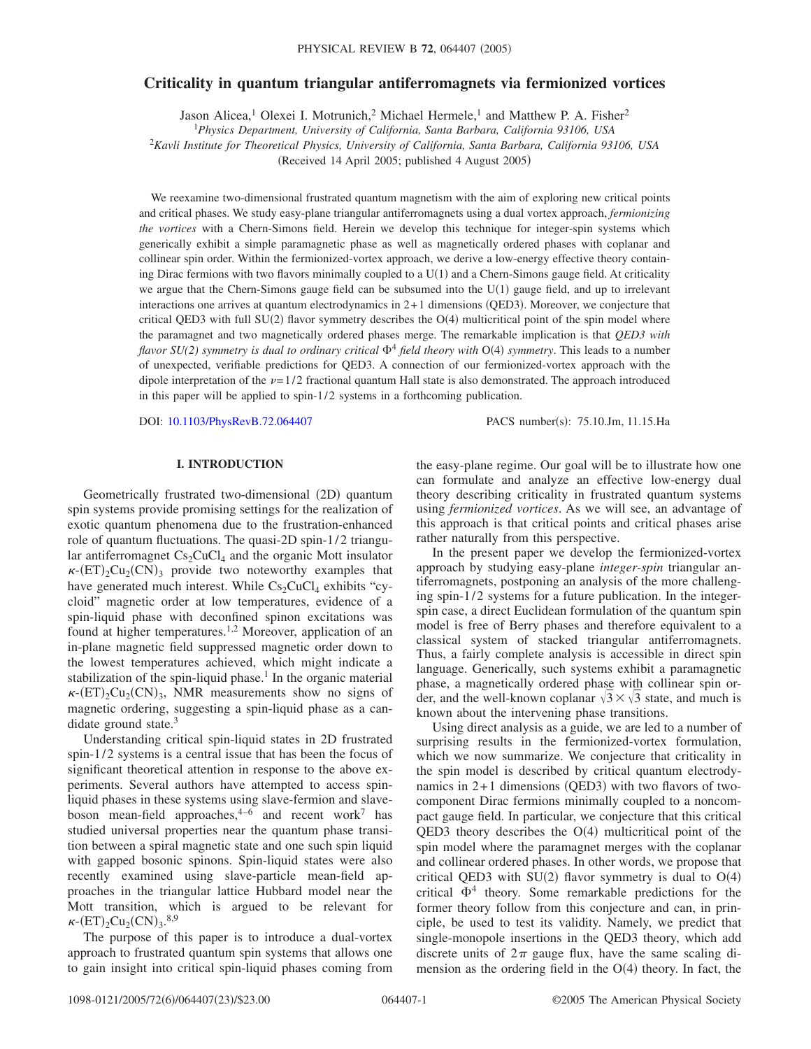# **Criticality in quantum triangular antiferromagnets via fermionized vortices**

Jason Alicea,<sup>1</sup> Olexei I. Motrunich,<sup>2</sup> Michael Hermele,<sup>1</sup> and Matthew P. A. Fisher<sup>2</sup>

1 *Physics Department, University of California, Santa Barbara, California 93106, USA*

<sup>2</sup>*Kavli Institute for Theoretical Physics, University of California, Santa Barbara, California 93106, USA*

(Received 14 April 2005; published 4 August 2005)

We reexamine two-dimensional frustrated quantum magnetism with the aim of exploring new critical points and critical phases. We study easy-plane triangular antiferromagnets using a dual vortex approach, *fermionizing the vortices* with a Chern-Simons field. Herein we develop this technique for integer-spin systems which generically exhibit a simple paramagnetic phase as well as magnetically ordered phases with coplanar and collinear spin order. Within the fermionized-vortex approach, we derive a low-energy effective theory containing Dirac fermions with two flavors minimally coupled to a  $U(1)$  and a Chern-Simons gauge field. At criticality we argue that the Chern-Simons gauge field can be subsumed into the  $U(1)$  gauge field, and up to irrelevant interactions one arrives at quantum electrodynamics in  $2+1$  dimensions (QED3). Moreover, we conjecture that critical QED3 with full SU(2) flavor symmetry describes the  $O(4)$  multicritical point of the spin model where the paramagnet and two magnetically ordered phases merge. The remarkable implication is that *QED3 with flavor SU(2) symmetry is dual to ordinary critical*  $\Phi^4$  *field theory with* O(4) *symmetry*. This leads to a number of unexpected, verifiable predictions for QED3. A connection of our fermionized-vortex approach with the dipole interpretation of the  $\nu = 1/2$  fractional quantum Hall state is also demonstrated. The approach introduced in this paper will be applied to spin- $1/2$  systems in a forthcoming publication.

DOI: [10.1103/PhysRevB.72.064407](http://dx.doi.org/10.1103/PhysRevB.72.064407)

PACS number(s): 75.10.Jm, 11.15.Ha

# **I. INTRODUCTION**

Geometrically frustrated two-dimensional (2D) quantum spin systems provide promising settings for the realization of exotic quantum phenomena due to the frustration-enhanced role of quantum fluctuations. The quasi-2D spin-1/2 triangular antiferromagnet  $Cs_2CuCl_4$  and the organic Mott insulator  $\kappa$ -(ET)<sub>2</sub>Cu<sub>2</sub>(CN)<sub>3</sub> provide two noteworthy examples that have generated much interest. While  $Cs_2CuCl_4$  exhibits "cycloid" magnetic order at low temperatures, evidence of a spin-liquid phase with deconfined spinon excitations was found at higher temperatures.<sup>1,2</sup> Moreover, application of an in-plane magnetic field suppressed magnetic order down to the lowest temperatures achieved, which might indicate a stabilization of the spin-liquid phase.<sup>1</sup> In the organic material  $\kappa$ -(ET)<sub>2</sub>Cu<sub>2</sub>(CN)<sub>3</sub>, NMR measurements show no signs of magnetic ordering, suggesting a spin-liquid phase as a candidate ground state. $3$ 

Understanding critical spin-liquid states in 2D frustrated spin-1/2 systems is a central issue that has been the focus of significant theoretical attention in response to the above experiments. Several authors have attempted to access spinliquid phases in these systems using slave-fermion and slaveboson mean-field approaches,  $4-6$  and recent work<sup>7</sup> has studied universal properties near the quantum phase transition between a spiral magnetic state and one such spin liquid with gapped bosonic spinons. Spin-liquid states were also recently examined using slave-particle mean-field approaches in the triangular lattice Hubbard model near the Mott transition, which is argued to be relevant for  $\kappa$ - $(ET)_{2}Cu_{2}(CN)_{3}.^{8,9}$ 

The purpose of this paper is to introduce a dual-vortex approach to frustrated quantum spin systems that allows one to gain insight into critical spin-liquid phases coming from

the easy-plane regime. Our goal will be to illustrate how one can formulate and analyze an effective low-energy dual theory describing criticality in frustrated quantum systems using *fermionized vortices*. As we will see, an advantage of this approach is that critical points and critical phases arise rather naturally from this perspective.

In the present paper we develop the fermionized-vortex approach by studying easy-plane *integer-spin* triangular antiferromagnets, postponing an analysis of the more challenging spin- $1/2$  systems for a future publication. In the integerspin case, a direct Euclidean formulation of the quantum spin model is free of Berry phases and therefore equivalent to a classical system of stacked triangular antiferromagnets. Thus, a fairly complete analysis is accessible in direct spin language. Generically, such systems exhibit a paramagnetic phase, a magnetically ordered phase with collinear spin order, and the well-known coplanar  $\sqrt{3} \times \sqrt{3}$  state, and much is known about the intervening phase transitions.

Using direct analysis as a guide, we are led to a number of surprising results in the fermionized-vortex formulation, which we now summarize. We conjecture that criticality in the spin model is described by critical quantum electrodynamics in  $2+1$  dimensions (QED3) with two flavors of twocomponent Dirac fermions minimally coupled to a noncompact gauge field. In particular, we conjecture that this critical QED3 theory describes the  $O(4)$  multicritical point of the spin model where the paramagnet merges with the coplanar and collinear ordered phases. In other words, we propose that critical QED3 with SU(2) flavor symmetry is dual to  $O(4)$ critical  $\Phi^4$  theory. Some remarkable predictions for the former theory follow from this conjecture and can, in principle, be used to test its validity. Namely, we predict that single-monopole insertions in the QED3 theory, which add discrete units of  $2\pi$  gauge flux, have the same scaling dimension as the ordering field in the  $O(4)$  theory. In fact, the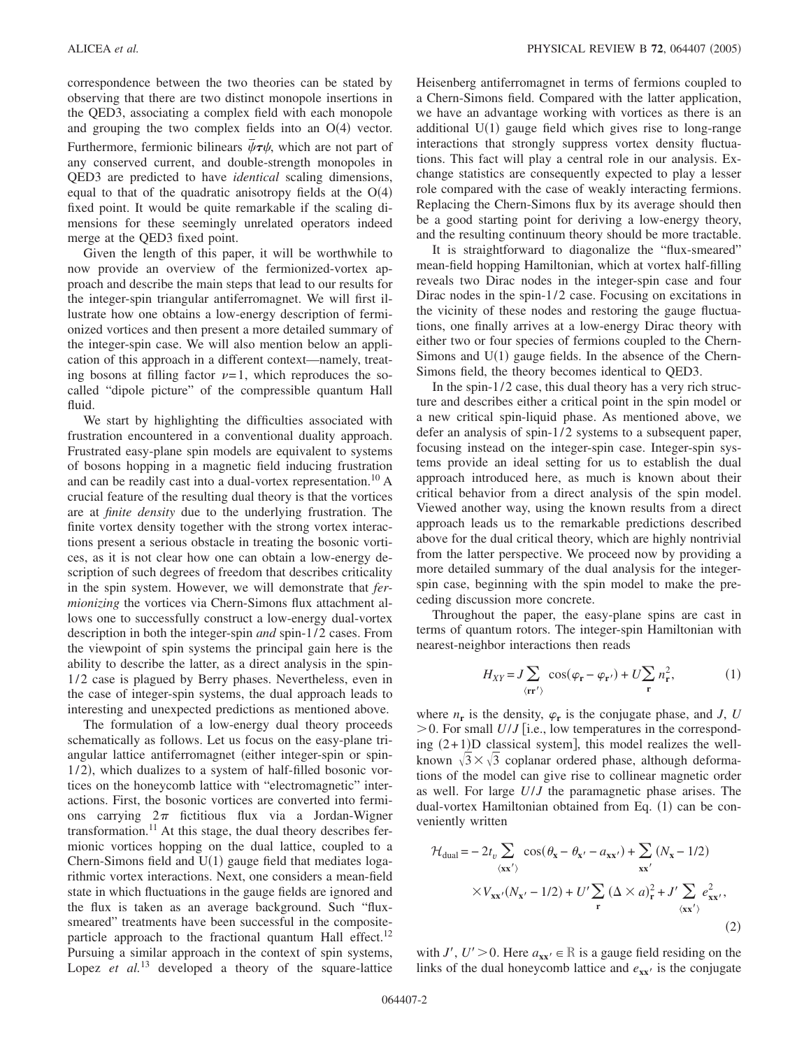correspondence between the two theories can be stated by observing that there are two distinct monopole insertions in the QED3, associating a complex field with each monopole and grouping the two complex fields into an  $O(4)$  vector. Furthermore, fermionic bilinears  $\bar{\psi}\tau\psi$ , which are not part of any conserved current, and double-strength monopoles in QED3 are predicted to have *identical* scaling dimensions, equal to that of the quadratic anisotropy fields at the  $O(4)$ fixed point. It would be quite remarkable if the scaling dimensions for these seemingly unrelated operators indeed merge at the QED3 fixed point.

Given the length of this paper, it will be worthwhile to now provide an overview of the fermionized-vortex approach and describe the main steps that lead to our results for the integer-spin triangular antiferromagnet. We will first illustrate how one obtains a low-energy description of fermionized vortices and then present a more detailed summary of the integer-spin case. We will also mention below an application of this approach in a different context—namely, treating bosons at filling factor  $\nu=1$ , which reproduces the socalled "dipole picture" of the compressible quantum Hall fluid.

We start by highlighting the difficulties associated with frustration encountered in a conventional duality approach. Frustrated easy-plane spin models are equivalent to systems of bosons hopping in a magnetic field inducing frustration and can be readily cast into a dual-vortex representation.10 A crucial feature of the resulting dual theory is that the vortices are at *finite density* due to the underlying frustration. The finite vortex density together with the strong vortex interactions present a serious obstacle in treating the bosonic vortices, as it is not clear how one can obtain a low-energy description of such degrees of freedom that describes criticality in the spin system. However, we will demonstrate that *fermionizing* the vortices via Chern-Simons flux attachment allows one to successfully construct a low-energy dual-vortex description in both the integer-spin *and* spin-1/2 cases. From the viewpoint of spin systems the principal gain here is the ability to describe the latter, as a direct analysis in the spin-1/2 case is plagued by Berry phases. Nevertheless, even in the case of integer-spin systems, the dual approach leads to interesting and unexpected predictions as mentioned above.

The formulation of a low-energy dual theory proceeds schematically as follows. Let us focus on the easy-plane triangular lattice antiferromagnet (either integer-spin or spin-1/2), which dualizes to a system of half-filled bosonic vortices on the honeycomb lattice with "electromagnetic" interactions. First, the bosonic vortices are converted into fermions carrying  $2\pi$  fictitious flux via a Jordan-Wigner transformation.<sup>11</sup> At this stage, the dual theory describes fermionic vortices hopping on the dual lattice, coupled to a Chern-Simons field and  $U(1)$  gauge field that mediates logarithmic vortex interactions. Next, one considers a mean-field state in which fluctuations in the gauge fields are ignored and the flux is taken as an average background. Such "fluxsmeared" treatments have been successful in the compositeparticle approach to the fractional quantum Hall effect.<sup>12</sup> Pursuing a similar approach in the context of spin systems, Lopez *et al.*<sup>13</sup> developed a theory of the square-lattice Heisenberg antiferromagnet in terms of fermions coupled to a Chern-Simons field. Compared with the latter application, we have an advantage working with vortices as there is an additional  $U(1)$  gauge field which gives rise to long-range interactions that strongly suppress vortex density fluctuations. This fact will play a central role in our analysis. Exchange statistics are consequently expected to play a lesser role compared with the case of weakly interacting fermions. Replacing the Chern-Simons flux by its average should then be a good starting point for deriving a low-energy theory, and the resulting continuum theory should be more tractable.

It is straightforward to diagonalize the "flux-smeared" mean-field hopping Hamiltonian, which at vortex half-filling reveals two Dirac nodes in the integer-spin case and four Dirac nodes in the spin- $1/2$  case. Focusing on excitations in the vicinity of these nodes and restoring the gauge fluctuations, one finally arrives at a low-energy Dirac theory with either two or four species of fermions coupled to the Chern-Simons and  $U(1)$  gauge fields. In the absence of the Chern-Simons field, the theory becomes identical to QED3.

In the spin- $1/2$  case, this dual theory has a very rich structure and describes either a critical point in the spin model or a new critical spin-liquid phase. As mentioned above, we defer an analysis of spin- $1/2$  systems to a subsequent paper, focusing instead on the integer-spin case. Integer-spin systems provide an ideal setting for us to establish the dual approach introduced here, as much is known about their critical behavior from a direct analysis of the spin model. Viewed another way, using the known results from a direct approach leads us to the remarkable predictions described above for the dual critical theory, which are highly nontrivial from the latter perspective. We proceed now by providing a more detailed summary of the dual analysis for the integerspin case, beginning with the spin model to make the preceding discussion more concrete.

Throughout the paper, the easy-plane spins are cast in terms of quantum rotors. The integer-spin Hamiltonian with nearest-neighbor interactions then reads

$$
H_{XY} = J \sum_{\langle \mathbf{rr}' \rangle} \cos(\varphi_{\mathbf{r}} - \varphi_{\mathbf{r}'}) + U \sum_{\mathbf{r}} n_{\mathbf{r}}^2,\tag{1}
$$

where  $n_r$  is the density,  $\varphi_r$  is the conjugate phase, and *J*, *U*  $> 0$ . For small *U/J* i.e., low temperatures in the corresponding  $(2+1)D$  classical system], this model realizes the wellknown  $\sqrt{3} \times \sqrt{3}$  coplanar ordered phase, although deformations of the model can give rise to collinear magnetic order as well. For large *U*/*J* the paramagnetic phase arises. The dual-vortex Hamiltonian obtained from Eq. (1) can be conveniently written

$$
\mathcal{H}_{\text{dual}} = -2t_v \sum_{\langle \mathbf{x} \mathbf{x}' \rangle} \cos(\theta_{\mathbf{x}} - \theta_{\mathbf{x}'} - a_{\mathbf{x} \mathbf{x}'}) + \sum_{\mathbf{x} \mathbf{x}'} (N_{\mathbf{x}} - 1/2)
$$
  
 
$$
\times V_{\mathbf{x} \mathbf{x}'} (N_{\mathbf{x}'} - 1/2) + U' \sum_{\mathbf{r}} (\Delta \times a)_{\mathbf{r}}^2 + J' \sum_{\langle \mathbf{x} \mathbf{x}' \rangle} e_{\mathbf{x} \mathbf{x}'}^2,
$$
 (2)

with *J'*,  $U' > 0$ . Here  $a_{xx'} \in \mathbb{R}$  is a gauge field residing on the links of the dual honeycomb lattice and  $e_{xx}$  is the conjugate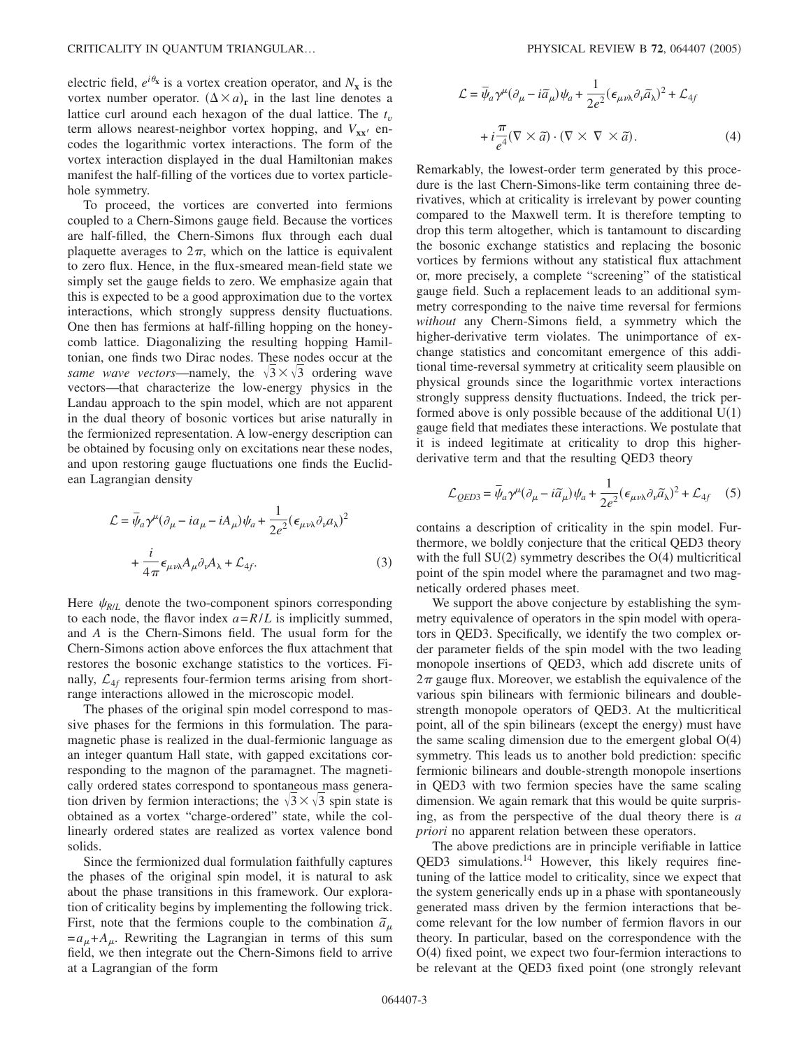electric field,  $e^{i\theta_{\mathbf{x}}}$  is a vortex creation operator, and  $N_{\mathbf{x}}$  is the vortex number operator.  $(\Delta \times a)_r$  in the last line denotes a lattice curl around each hexagon of the dual lattice. The *t<sup>v</sup>* term allows nearest-neighbor vortex hopping, and  $V_{xx}$  encodes the logarithmic vortex interactions. The form of the vortex interaction displayed in the dual Hamiltonian makes manifest the half-filling of the vortices due to vortex particlehole symmetry.

To proceed, the vortices are converted into fermions coupled to a Chern-Simons gauge field. Because the vortices are half-filled, the Chern-Simons flux through each dual plaquette averages to  $2\pi$ , which on the lattice is equivalent to zero flux. Hence, in the flux-smeared mean-field state we simply set the gauge fields to zero. We emphasize again that this is expected to be a good approximation due to the vortex interactions, which strongly suppress density fluctuations. One then has fermions at half-filling hopping on the honeycomb lattice. Diagonalizing the resulting hopping Hamiltonian, one finds two Dirac nodes. These nodes occur at the *same wave vectors*—namely, the  $\sqrt{3} \times \sqrt{3}$  ordering wave vectors—that characterize the low-energy physics in the Landau approach to the spin model, which are not apparent in the dual theory of bosonic vortices but arise naturally in the fermionized representation. A low-energy description can be obtained by focusing only on excitations near these nodes, and upon restoring gauge fluctuations one finds the Euclidean Lagrangian density

$$
\mathcal{L} = \bar{\psi}_a \gamma^\mu (\partial_\mu - ia_\mu - iA_\mu) \psi_a + \frac{1}{2e^2} (\epsilon_{\mu\nu\lambda} \partial_\nu a_\lambda)^2
$$

$$
+ \frac{i}{4\pi} \epsilon_{\mu\nu\lambda} A_\mu \partial_\nu A_\lambda + \mathcal{L}_{4f}.
$$
 (3)

Here  $\psi_{R/L}$  denote the two-component spinors corresponding to each node, the flavor index  $a = R/L$  is implicitly summed, and *A* is the Chern-Simons field. The usual form for the Chern-Simons action above enforces the flux attachment that restores the bosonic exchange statistics to the vortices. Finally,  $\mathcal{L}_{4f}$  represents four-fermion terms arising from shortrange interactions allowed in the microscopic model.

The phases of the original spin model correspond to massive phases for the fermions in this formulation. The paramagnetic phase is realized in the dual-fermionic language as an integer quantum Hall state, with gapped excitations corresponding to the magnon of the paramagnet. The magnetically ordered states correspond to spontaneous mass generation driven by fermion interactions; the  $\sqrt{3} \times \sqrt{3}$  spin state is obtained as a vortex "charge-ordered" state, while the collinearly ordered states are realized as vortex valence bond solids.

Since the fermionized dual formulation faithfully captures the phases of the original spin model, it is natural to ask about the phase transitions in this framework. Our exploration of criticality begins by implementing the following trick. First, note that the fermions couple to the combination  $\tilde{a}_{\mu}$  $=a_{\mu}+A_{\mu}$ . Rewriting the Lagrangian in terms of this sum field, we then integrate out the Chern-Simons field to arrive at a Lagrangian of the form

$$
\mathcal{L} = \bar{\psi}_a \gamma^\mu (\partial_\mu - i \tilde{a}_\mu) \psi_a + \frac{1}{2e^2} (\epsilon_{\mu\nu\lambda} \partial_\nu \tilde{a}_\lambda)^2 + \mathcal{L}_{4f}
$$
  
+  $i \frac{\pi}{e^4} (\nabla \times \tilde{a}) \cdot (\nabla \times \nabla \times \tilde{a}).$  (4)

Remarkably, the lowest-order term generated by this procedure is the last Chern-Simons-like term containing three derivatives, which at criticality is irrelevant by power counting compared to the Maxwell term. It is therefore tempting to drop this term altogether, which is tantamount to discarding the bosonic exchange statistics and replacing the bosonic vortices by fermions without any statistical flux attachment or, more precisely, a complete "screening" of the statistical gauge field. Such a replacement leads to an additional symmetry corresponding to the naive time reversal for fermions *without* any Chern-Simons field, a symmetry which the higher-derivative term violates. The unimportance of exchange statistics and concomitant emergence of this additional time-reversal symmetry at criticality seem plausible on physical grounds since the logarithmic vortex interactions strongly suppress density fluctuations. Indeed, the trick performed above is only possible because of the additional  $U(1)$ gauge field that mediates these interactions. We postulate that it is indeed legitimate at criticality to drop this higherderivative term and that the resulting QED3 theory

$$
\mathcal{L}_{QED3} = \bar{\psi}_a \gamma^\mu (\partial_\mu - i \tilde{a}_\mu) \psi_a + \frac{1}{2e^2} (\epsilon_{\mu\nu\lambda} \partial_\nu \tilde{a}_\lambda)^2 + \mathcal{L}_{4f} \quad (5)
$$

contains a description of criticality in the spin model. Furthermore, we boldly conjecture that the critical QED3 theory with the full  $SU(2)$  symmetry describes the  $O(4)$  multicritical point of the spin model where the paramagnet and two magnetically ordered phases meet.

We support the above conjecture by establishing the symmetry equivalence of operators in the spin model with operators in QED3. Specifically, we identify the two complex order parameter fields of the spin model with the two leading monopole insertions of QED3, which add discrete units of  $2\pi$  gauge flux. Moreover, we establish the equivalence of the various spin bilinears with fermionic bilinears and doublestrength monopole operators of QED3. At the multicritical point, all of the spin bilinears (except the energy) must have the same scaling dimension due to the emergent global  $O(4)$ symmetry. This leads us to another bold prediction: specific fermionic bilinears and double-strength monopole insertions in QED3 with two fermion species have the same scaling dimension. We again remark that this would be quite surprising, as from the perspective of the dual theory there is *a priori* no apparent relation between these operators.

The above predictions are in principle verifiable in lattice QED3 simulations.<sup>14</sup> However, this likely requires finetuning of the lattice model to criticality, since we expect that the system generically ends up in a phase with spontaneously generated mass driven by the fermion interactions that become relevant for the low number of fermion flavors in our theory. In particular, based on the correspondence with the O(4) fixed point, we expect two four-fermion interactions to be relevant at the QED3 fixed point (one strongly relevant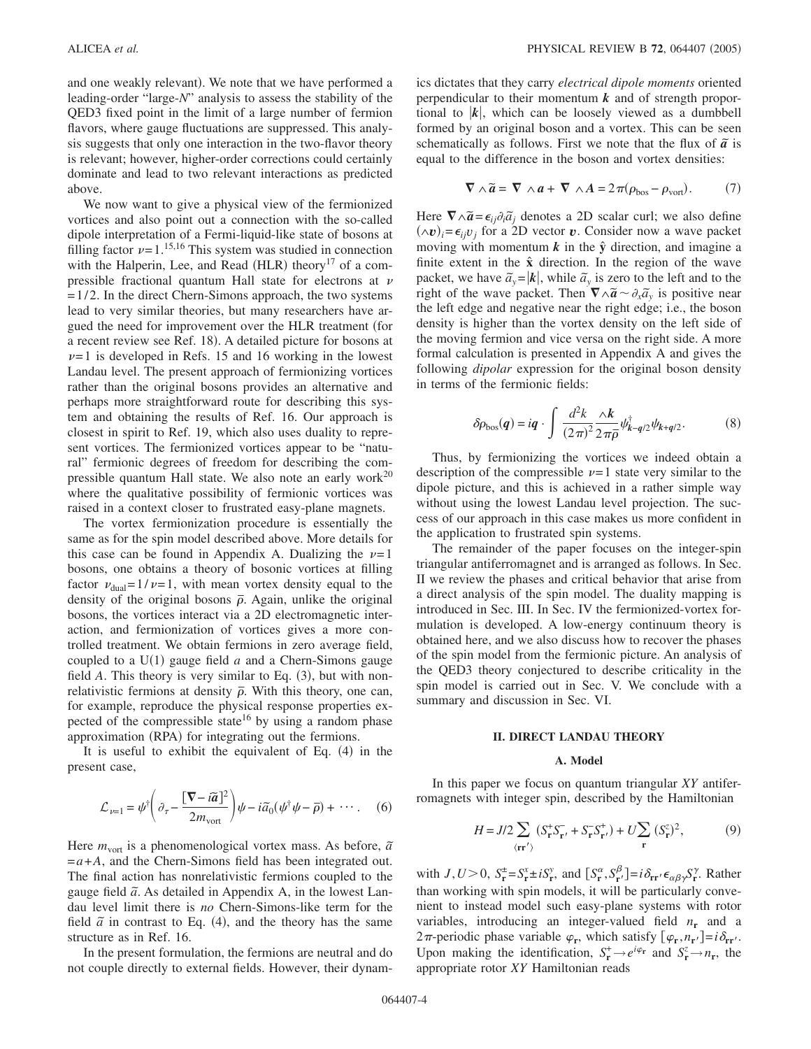and one weakly relevant). We note that we have performed a leading-order "large-*N*" analysis to assess the stability of the QED3 fixed point in the limit of a large number of fermion flavors, where gauge fluctuations are suppressed. This analysis suggests that only one interaction in the two-flavor theory is relevant; however, higher-order corrections could certainly dominate and lead to two relevant interactions as predicted above.

We now want to give a physical view of the fermionized vortices and also point out a connection with the so-called dipole interpretation of a Fermi-liquid-like state of bosons at filling factor  $\nu = 1$ .<sup>15,16</sup> This system was studied in connection with the Halperin, Lee, and Read (HLR) theory<sup>17</sup> of a compressible fractional quantum Hall state for electrons at  $\nu$  $= 1/2$ . In the direct Chern-Simons approach, the two systems lead to very similar theories, but many researchers have argued the need for improvement over the HLR treatment (for a recent review see Ref. 18). A detailed picture for bosons at  $\nu$ =1 is developed in Refs. 15 and 16 working in the lowest Landau level. The present approach of fermionizing vortices rather than the original bosons provides an alternative and perhaps more straightforward route for describing this system and obtaining the results of Ref. 16. Our approach is closest in spirit to Ref. 19, which also uses duality to represent vortices. The fermionized vortices appear to be "natural" fermionic degrees of freedom for describing the compressible quantum Hall state. We also note an early work<sup>20</sup> where the qualitative possibility of fermionic vortices was raised in a context closer to frustrated easy-plane magnets.

The vortex fermionization procedure is essentially the same as for the spin model described above. More details for this case can be found in Appendix A. Dualizing the  $\nu=1$ bosons, one obtains a theory of bosonic vortices at filling factor  $v_{\text{dual}} = 1/v = 1$ , with mean vortex density equal to the density of the original bosons  $\bar{\rho}$ . Again, unlike the original bosons, the vortices interact via a 2D electromagnetic interaction, and fermionization of vortices gives a more controlled treatment. We obtain fermions in zero average field, coupled to a  $U(1)$  gauge field  $a$  and a Chern-Simons gauge field  $A$ . This theory is very similar to Eq.  $(3)$ , but with nonrelativistic fermions at density  $\bar{\rho}$ . With this theory, one can, for example, reproduce the physical response properties expected of the compressible state<sup>16</sup> by using a random phase approximation (RPA) for integrating out the fermions.

It is useful to exhibit the equivalent of Eq. (4) in the present case,

$$
\mathcal{L}_{\nu=1} = \psi^{\dagger} \left( \partial_{\tau} - \frac{\left[ \nabla - \tilde{a} \right]^2}{2m_{\text{vort}}} \right) \psi - i \tilde{a}_0 (\psi^{\dagger} \psi - \bar{\rho}) + \cdots. \tag{6}
$$

Here  $m_{\text{vort}}$  is a phenomenological vortex mass. As before,  $\tilde{a}$  $=a+A$ , and the Chern-Simons field has been integrated out. The final action has nonrelativistic fermions coupled to the and the *a*. As detailed in Appendix A, in the lowest Landau level limit there is *no* Chern-Simons-like term for the field  $\tilde{a}$  in contrast to Eq. (4), and the theory has the same structure as in Ref. 16.

In the present formulation, the fermions are neutral and do not couple directly to external fields. However, their dynamics dictates that they carry *electrical dipole moments* oriented perpendicular to their momentum *k* and of strength proportional to  $|k|$ , which can be loosely viewed as a dumbbell formed by an original boson and a vortex. This can be seen schematically as follows. First we note that the flux of  $\tilde{a}$  is equal to the difference in the boson and vortex densities:

$$
\nabla \wedge \widetilde{a} = \nabla \wedge a + \nabla \wedge A = 2\pi (\rho_{\text{bos}} - \rho_{\text{vort}}). \tag{7}
$$

Here  $\nabla \wedge \tilde{a} = \epsilon_{ij} \partial_i \tilde{a}_j$  denotes a 2D scalar curl; we also define  $(\wedge v)_i = \epsilon_{ij}v_j$  for a 2D vector *v*. Consider now a wave packet moving with momentum  $k$  in the  $\hat{y}$  direction, and imagine a finite extent in the  $\hat{x}$  direction. In the region of the wave packet, we have  $\tilde{a}_y = |\mathbf{k}|$ , while  $\tilde{a}_y$  is zero to the left and to the right of the wave packet. Then  $\nabla \wedge \tilde{a} \sim \partial_x \tilde{a}_y$  is positive near the left edge and negative near the right edge; i.e., the boson density is higher than the vortex density on the left side of the moving fermion and vice versa on the right side. A more formal calculation is presented in Appendix A and gives the following *dipolar* expression for the original boson density in terms of the fermionic fields:

$$
\delta \rho_{\rm bos}(q) = iq \cdot \int \frac{d^2k}{(2\pi)^2} \frac{\wedge k}{2\pi \overline{\rho}} \psi_{k-q/2}^{\dagger} \psi_{k+q/2}.
$$
 (8)

Thus, by fermionizing the vortices we indeed obtain a description of the compressible  $\nu=1$  state very similar to the dipole picture, and this is achieved in a rather simple way without using the lowest Landau level projection. The success of our approach in this case makes us more confident in the application to frustrated spin systems.

The remainder of the paper focuses on the integer-spin triangular antiferromagnet and is arranged as follows. In Sec. II we review the phases and critical behavior that arise from a direct analysis of the spin model. The duality mapping is introduced in Sec. III. In Sec. IV the fermionized-vortex formulation is developed. A low-energy continuum theory is obtained here, and we also discuss how to recover the phases of the spin model from the fermionic picture. An analysis of the QED3 theory conjectured to describe criticality in the spin model is carried out in Sec. V. We conclude with a summary and discussion in Sec. VI.

## **II. DIRECT LANDAU THEORY**

#### **A. Model**

In this paper we focus on quantum triangular *XY* antiferromagnets with integer spin, described by the Hamiltonian

$$
H = J/2 \sum_{\langle \mathbf{r} \mathbf{r}' \rangle} (S_{\mathbf{r}}^{+} S_{\mathbf{r}'}^{-} + S_{\mathbf{r}}^{-} S_{\mathbf{r}'}^{+}) + U \sum_{\mathbf{r}} (S_{\mathbf{r}}^{z})^{2},
$$
 (9)

with *J*,*U*>0,  $S_r^{\pm} = S_r^x \pm iS_r^y$ , and  $[S_r^{\alpha}, S_{r'}^{\beta}] = i\delta_{rr'} \epsilon_{\alpha\beta\gamma} S_r^{\gamma}$ . Rather than working with spin models, it will be particularly convenient to instead model such easy-plane systems with rotor variables, introducing an integer-valued field  $n_r$  and a  $2\pi$ -periodic phase variable  $\varphi_r$ , which satisfy  $[\varphi_r, n_r] = i\delta_{rr'}$ . Upon making the identification,  $S_{\mathbf{r}}^{+} \to e^{i\varphi_{\mathbf{r}}}$  and  $S_{\mathbf{r}}^{z} \to n_{\mathbf{r}}$ , the appropriate rotor *XY* Hamiltonian reads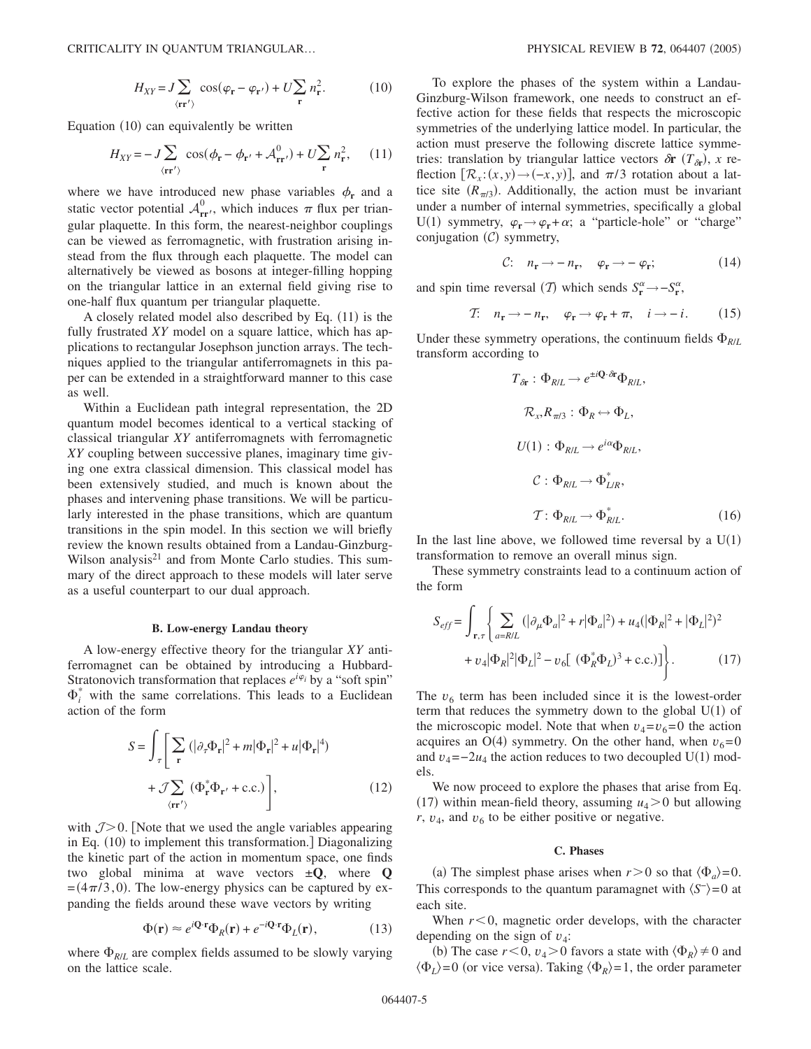$$
H_{XY} = J \sum_{\langle \mathbf{rr}' \rangle} \cos(\varphi_{\mathbf{r}} - \varphi_{\mathbf{r}'}) + U \sum_{\mathbf{r}} n_{\mathbf{r}}^2.
$$
 (10)

Equation (10) can equivalently be written

$$
H_{XY} = -J\sum_{\langle \mathbf{rr}' \rangle} \cos(\phi_{\mathbf{r}} - \phi_{\mathbf{r}'} + \mathcal{A}_{\mathbf{rr}'}^0) + U\sum_{\mathbf{r}} n_{\mathbf{r}}^2, \quad (11)
$$

where we have introduced new phase variables  $\phi_r$  and a static vector potential  $A_{rr}^0$ , which induces  $\pi$  flux per triangular plaquette. In this form, the nearest-neighbor couplings can be viewed as ferromagnetic, with frustration arising instead from the flux through each plaquette. The model can alternatively be viewed as bosons at integer-filling hopping on the triangular lattice in an external field giving rise to one-half flux quantum per triangular plaquette.

A closely related model also described by Eq. (11) is the fully frustrated *XY* model on a square lattice, which has applications to rectangular Josephson junction arrays. The techniques applied to the triangular antiferromagnets in this paper can be extended in a straightforward manner to this case as well.

Within a Euclidean path integral representation, the 2D quantum model becomes identical to a vertical stacking of classical triangular *XY* antiferromagnets with ferromagnetic *XY* coupling between successive planes, imaginary time giving one extra classical dimension. This classical model has been extensively studied, and much is known about the phases and intervening phase transitions. We will be particularly interested in the phase transitions, which are quantum transitions in the spin model. In this section we will briefly review the known results obtained from a Landau-Ginzburg-Wilson analysis<sup>21</sup> and from Monte Carlo studies. This summary of the direct approach to these models will later serve as a useful counterpart to our dual approach.

#### **B. Low-energy Landau theory**

A low-energy effective theory for the triangular *XY* antiferromagnet can be obtained by introducing a Hubbard-Stratonovich transformation that replaces  $e^{i\varphi_i}$  by a "soft spin"  $\Phi_i^*$  with the same correlations. This leads to a Euclidean action of the form

$$
S = \int_{\tau} \left[ \sum_{\mathbf{r}} (|\partial_{\tau} \Phi_{\mathbf{r}}|^2 + m |\Phi_{\mathbf{r}}|^2 + u |\Phi_{\mathbf{r}}|^4) + \mathcal{J} \sum_{\langle \mathbf{r} \mathbf{r}' \rangle} (\Phi_{\mathbf{r}}^* \Phi_{\mathbf{r}'} + \text{c.c.}) \right],
$$
 (12)

with  $J>0$ . [Note that we used the angle variables appearing in Eq. (10) to implement this transformation.] Diagonalizing the kinetic part of the action in momentum space, one finds two global minima at wave vectors ±**Q**, where **Q**  $=(4\pi/3,0)$ . The low-energy physics can be captured by expanding the fields around these wave vectors by writing

$$
\Phi(\mathbf{r}) \approx e^{i\mathbf{Q}\cdot\mathbf{r}} \Phi_R(\mathbf{r}) + e^{-i\mathbf{Q}\cdot\mathbf{r}} \Phi_L(\mathbf{r}),\tag{13}
$$

where  $\Phi_{R/L}$  are complex fields assumed to be slowly varying on the lattice scale.

To explore the phases of the system within a Landau-Ginzburg-Wilson framework, one needs to construct an effective action for these fields that respects the microscopic symmetries of the underlying lattice model. In particular, the action must preserve the following discrete lattice symmetries: translation by triangular lattice vectors  $\delta \mathbf{r}$  ( $T_{\delta \mathbf{r}}$ ), x reflection  $[\mathcal{R}_x:(x,y) \rightarrow (-x,y)]$ , and  $\pi/3$  rotation about a lattice site  $(R_{\pi/3})$ . Additionally, the action must be invariant under a number of internal symmetries, specifically a global U(1) symmetry,  $\varphi_r \rightarrow \varphi_r + \alpha$ ; a "particle-hole" or "charge" conjugation  $(C)$  symmetry,

$$
C: \quad n_{\mathbf{r}} \to -n_{\mathbf{r}}, \quad \varphi_{\mathbf{r}} \to -\varphi_{\mathbf{r}}; \tag{14}
$$

and spin time reversal (*T*) which sends  $S_r^{\alpha} \rightarrow -S_r^{\alpha}$ ,

$$
T: n_{\mathbf{r}} \to -n_{\mathbf{r}}, \quad \varphi_{\mathbf{r}} \to \varphi_{\mathbf{r}} + \pi, \quad i \to -i. \tag{15}
$$

Under these symmetry operations, the continuum fields  $\Phi_{R/L}$ transform according to

$$
T_{\delta r} : \Phi_{R/L} \to e^{\pm i \mathbf{Q} \cdot \delta \mathbf{r}} \Phi_{R/L},
$$
  
\n
$$
\mathcal{R}_x, R_{\pi/3} : \Phi_R \leftrightarrow \Phi_L,
$$
  
\n
$$
U(1) : \Phi_{R/L} \to e^{i\alpha} \Phi_{R/L},
$$
  
\n
$$
\mathcal{C} : \Phi_{R/L} \to \Phi_{L/R}^*,
$$
  
\n
$$
\mathcal{T} : \Phi_{R/L} \to \Phi_{R/L}^*.
$$
 (16)

In the last line above, we followed time reversal by a  $U(1)$ transformation to remove an overall minus sign.

These symmetry constraints lead to a continuum action of the form

$$
S_{eff} = \int_{\mathbf{r},\tau} \left\{ \sum_{a=R/L} (|\partial_{\mu} \Phi_a|^2 + r |\Phi_a|^2) + u_4 (|\Phi_R|^2 + |\Phi_L|^2)^2 + v_4 |\Phi_R|^2 |\Phi_L|^2 - v_6 [(\Phi_R^* \Phi_L)^3 + \text{c.c.})] \right\}.
$$
 (17)

The  $v_6$  term has been included since it is the lowest-order term that reduces the symmetry down to the global  $U(1)$  of the microscopic model. Note that when  $v_4 = v_6 = 0$  the action acquires an  $O(4)$  symmetry. On the other hand, when  $v_6 = 0$ and  $v_4 = -2u_4$  the action reduces to two decoupled U(1) models.

We now proceed to explore the phases that arise from Eq. (17) within mean-field theory, assuming  $u_4$  > 0 but allowing  $r$ ,  $v_4$ , and  $v_6$  to be either positive or negative.

## **C. Phases**

(a) The simplest phase arises when  $r > 0$  so that  $\langle \Phi_a \rangle = 0$ . This corresponds to the quantum paramagnet with  $\langle S^{-} \rangle = 0$  at each site.

When  $r<0$ , magnetic order develops, with the character depending on the sign of  $v_4$ :

(b) The case  $r < 0$ ,  $v_4 > 0$  favors a state with  $\langle \Phi_R \rangle \neq 0$  and  $\langle \Phi_L \rangle$ =0 (or vice versa). Taking  $\langle \Phi_R \rangle$ =1, the order parameter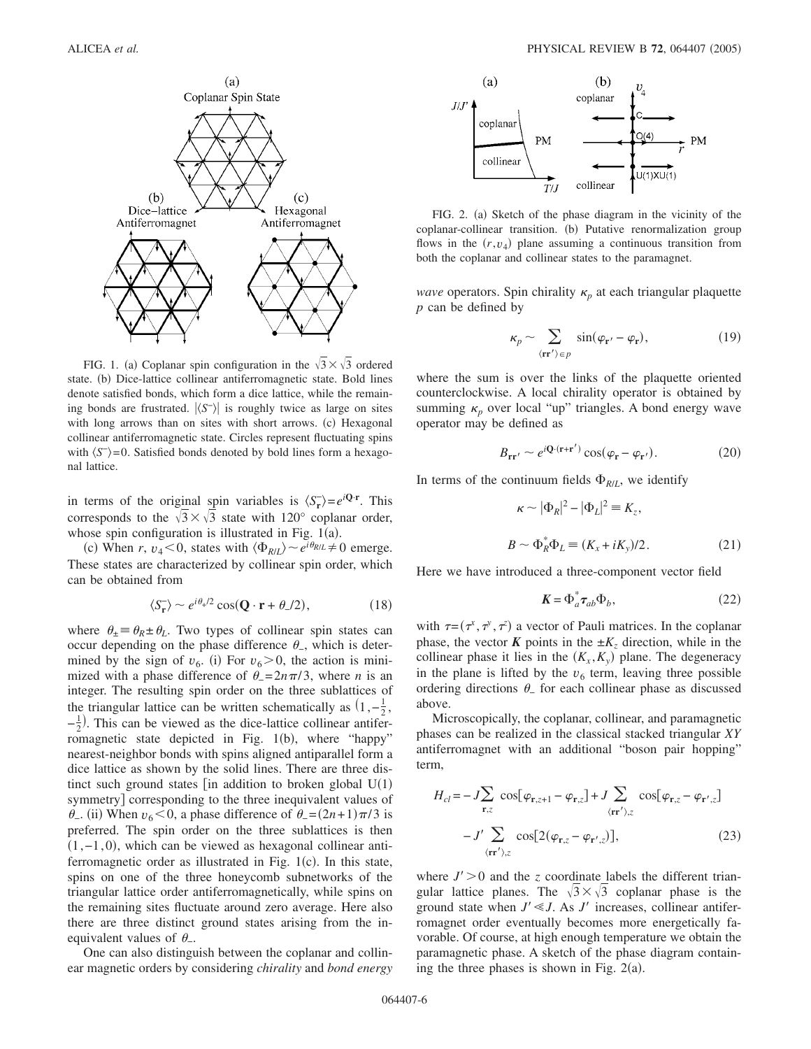

FIG. 1. (a) Coplanar spin configuration in the  $\sqrt{3} \times \sqrt{3}$  ordered state. (b) Dice-lattice collinear antiferromagnetic state. Bold lines denote satisfied bonds, which form a dice lattice, while the remaining bonds are frustrated.  $|\langle S^{-} \rangle|$  is roughly twice as large on sites with long arrows than on sites with short arrows. (c) Hexagonal collinear antiferromagnetic state. Circles represent fluctuating spins with  $\langle S^{-} \rangle = 0$ . Satisfied bonds denoted by bold lines form a hexagonal lattice.

in terms of the original spin variables is  $\langle S_{\mathbf{r}}^{-} \rangle = e^{i\mathbf{Q} \cdot \mathbf{r}}$ . This corresponds to the  $\sqrt{3} \times \sqrt{3}$  state with 120° coplanar order, whose spin configuration is illustrated in Fig.  $1(a)$ .

(c) When *r*,  $v_4 < 0$ , states with  $\langle \Phi_{R/L} \rangle \sim e^{i \theta_{R/L}} \neq 0$  emerge. These states are characterized by collinear spin order, which can be obtained from

$$
\langle S_{\mathbf{r}} \rangle \sim e^{i\theta_{+}/2} \cos(\mathbf{Q} \cdot \mathbf{r} + \theta_{-}/2), \tag{18}
$$

where  $\theta_{\pm} \equiv \theta_R \pm \theta_L$ . Two types of collinear spin states can occur depending on the phase difference  $\theta$ <sub>-</sub>, which is determined by the sign of  $v_6$ . (i) For  $v_6 > 0$ , the action is minimized with a phase difference of  $\theta = 2n\pi/3$ , where *n* is an integer. The resulting spin order on the three sublattices of the triangular lattice can be written schematically as  $(1, -\frac{1}{2},)$  $-\frac{1}{2}$ ). This can be viewed as the dice-lattice collinear antiferromagnetic state depicted in Fig. 1(b), where "happy" nearest-neighbor bonds with spins aligned antiparallel form a dice lattice as shown by the solid lines. There are three distinct such ground states [in addition to broken global  $U(1)$ symmetry] corresponding to the three inequivalent values of  $\theta$ <sub>-</sub>. (ii) When *v*<sub>6</sub> < 0, a phase difference of  $\theta$ <sub>-</sub> =  $(2n+1)\pi/3$  is preferred. The spin order on the three sublattices is then 1,−1,0-, which can be viewed as hexagonal collinear antiferromagnetic order as illustrated in Fig.  $1(c)$ . In this state, spins on one of the three honeycomb subnetworks of the triangular lattice order antiferromagnetically, while spins on the remaining sites fluctuate around zero average. Here also there are three distinct ground states arising from the inequivalent values of  $\theta$ .

One can also distinguish between the coplanar and collinear magnetic orders by considering *chirality* and *bond energy*



FIG. 2. (a) Sketch of the phase diagram in the vicinity of the coplanar-collinear transition. (b) Putative renormalization group flows in the  $(r, v_4)$  plane assuming a continuous transition from both the coplanar and collinear states to the paramagnet.

*wave* operators. Spin chirality  $\kappa_p$  at each triangular plaquette *p* can be defined by

$$
\kappa_p \sim \sum_{\langle \mathbf{rr}' \rangle \in p} \sin(\varphi_{\mathbf{r}'} - \varphi_{\mathbf{r}}), \tag{19}
$$

where the sum is over the links of the plaquette oriented counterclockwise. A local chirality operator is obtained by summing  $\kappa_p$  over local "up" triangles. A bond energy wave operator may be defined as

$$
B_{\mathbf{r}\mathbf{r}'} \sim e^{i\mathbf{Q}\cdot(\mathbf{r}+\mathbf{r}')} \cos(\varphi_{\mathbf{r}} - \varphi_{\mathbf{r}'}). \tag{20}
$$

In terms of the continuum fields  $\Phi_{R/L}$ , we identify

$$
\kappa \sim |\Phi_R|^2 - |\Phi_L|^2 \equiv K_z,
$$
  

$$
B \sim \Phi_R^* \Phi_L \equiv (K_x + iK_y)/2.
$$
 (21)

Here we have introduced a three-component vector field

$$
\mathbf{K} = \Phi_a^* \boldsymbol{\tau}_{ab} \Phi_b,\tag{22}
$$

with  $\tau = (\tau^x, \tau^y, \tau^z)$  a vector of Pauli matrices. In the coplanar phase, the vector  $\vec{K}$  points in the  $\pm K_z$  direction, while in the collinear phase it lies in the  $(K_x, K_y)$  plane. The degeneracy in the plane is lifted by the  $v<sub>6</sub>$  term, leaving three possible ordering directions  $\theta$  for each collinear phase as discussed above.

Microscopically, the coplanar, collinear, and paramagnetic phases can be realized in the classical stacked triangular *XY* antiferromagnet with an additional "boson pair hopping" term,

$$
H_{cl} = -J\sum_{\mathbf{r},z} \cos[\varphi_{\mathbf{r},z+1} - \varphi_{\mathbf{r},z}] + J\sum_{\langle \mathbf{r} \mathbf{r}' \rangle, z} \cos[\varphi_{\mathbf{r},z} - \varphi_{\mathbf{r}',z}]
$$

$$
-J'\sum_{\langle \mathbf{r} \mathbf{r}' \rangle, z} \cos[2(\varphi_{\mathbf{r},z} - \varphi_{\mathbf{r}',z})], \qquad (23)
$$

where  $J' > 0$  and the *z* coordinate labels the different triangular lattice planes. The  $\sqrt{3} \times \sqrt{3}$  coplanar phase is the ground state when  $J' \ll J$ . As  $J'$  increases, collinear antiferromagnet order eventually becomes more energetically favorable. Of course, at high enough temperature we obtain the paramagnetic phase. A sketch of the phase diagram containing the three phases is shown in Fig.  $2(a)$ .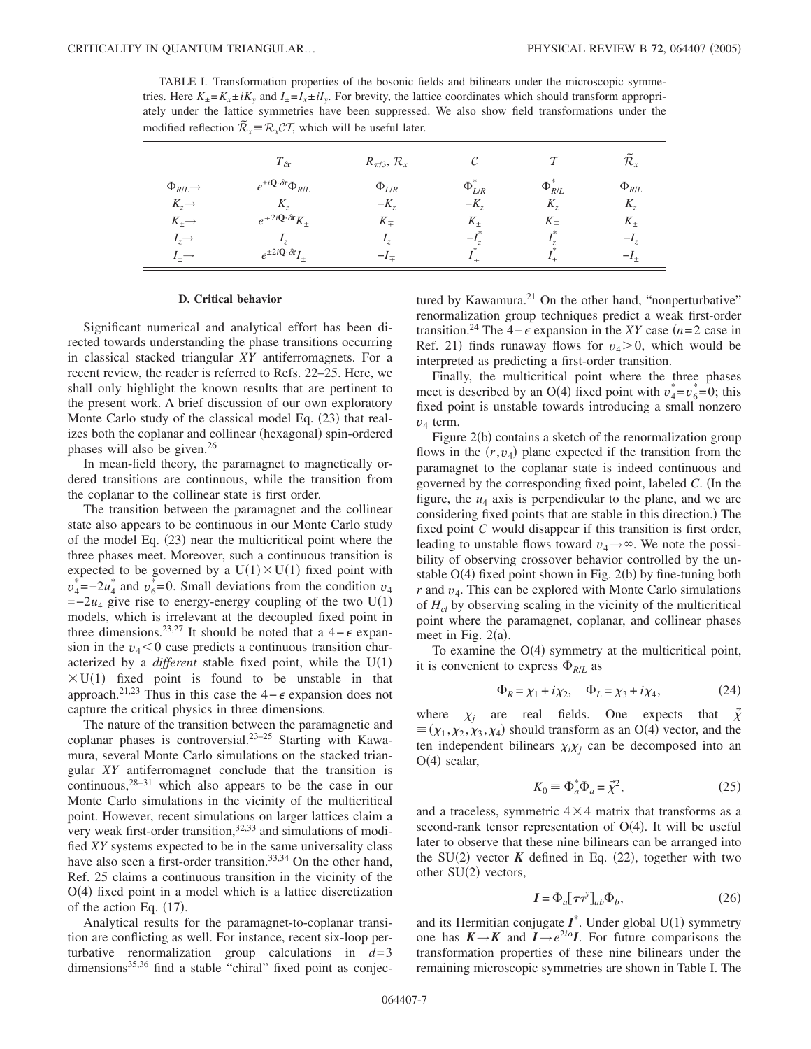TABLE I. Transformation properties of the bosonic fields and bilinears under the microscopic symmetries. Here  $K_{+} = K_{x} \pm iK_{y}$  and  $I_{+} = I_{x} \pm iI_{y}$ . For brevity, the lattice coordinates which should transform appropriately under the lattice symmetries have been suppressed. We also show field transformations under the modified reflection  $\tilde{\mathcal{R}}_x = \mathcal{R}_x \mathcal{C} \mathcal{T}$ , which will be useful later.

|                          | $T_{\delta r}$                                          | $R_{\pi/3}$ , $\mathcal{R}_x$ |                  |                | $\mathcal{R}_{\rm r}$ |
|--------------------------|---------------------------------------------------------|-------------------------------|------------------|----------------|-----------------------|
| $\Phi_{R/L} \rightarrow$ | $e^{\pm i{\bf Q}\cdot\delta{\bf r}}\Phi_{R/L}$          | $\Phi_{L/R}$                  | $\Phi_{L/R}^*$   | $\Phi_{R/L}^*$ | $\Phi_{R/L}$          |
| $K_z \rightarrow$        | K.,                                                     | $-K_{\tau}$                   | $-K_{\tau}$      | $K_{\tau}$     | $K_{\tau}$            |
| $K_{\pm}$ $\rightarrow$  | $e^{\mp 2i \mathbf{Q} \cdot \delta \mathbf{r}} K_{\pm}$ | $K_{\pm}$                     | $K_{+}$          | $K_{\pm}$      | $K_{\pm}$             |
| $I_z \rightarrow$        |                                                         | 17                            | $-I_{\pi}$       |                | $-I_z$                |
| $l_{+} \rightarrow$      | $e^{\pm 2i\mathbf{Q}\cdot\delta\mathbf{r}}I_{\pm}$      | $-l_{\pm}$                    | $\epsilon$ $\pm$ |                | $-l_{+}$              |

### **D. Critical behavior**

Significant numerical and analytical effort has been directed towards understanding the phase transitions occurring in classical stacked triangular *XY* antiferromagnets. For a recent review, the reader is referred to Refs. 22–25. Here, we shall only highlight the known results that are pertinent to the present work. A brief discussion of our own exploratory Monte Carlo study of the classical model Eq. (23) that realizes both the coplanar and collinear (hexagonal) spin-ordered phases will also be given. $26$ 

In mean-field theory, the paramagnet to magnetically ordered transitions are continuous, while the transition from the coplanar to the collinear state is first order.

The transition between the paramagnet and the collinear state also appears to be continuous in our Monte Carlo study of the model Eq. (23) near the multicritical point where the three phases meet. Moreover, such a continuous transition is expected to be governed by a  $U(1) \times U(1)$  fixed point with  $v_4^*$  =−2 $u_4^*$  and  $v_6^*$  =0. Small deviations from the condition  $v_4$  $=-2u_4$  give rise to energy-energy coupling of the two U(1) models, which is irrelevant at the decoupled fixed point in three dimensions.<sup>23,27</sup> It should be noted that a 4 –  $\epsilon$  expansion in the  $v_4$ <0 case predicts a continuous transition characterized by a *different* stable fixed point, while the  $U(1)$  $\times$  U(1) fixed point is found to be unstable in that approach.<sup>21,23</sup> Thus in this case the 4 –  $\epsilon$  expansion does not capture the critical physics in three dimensions.

The nature of the transition between the paramagnetic and coplanar phases is controversial.<sup>23-25</sup> Starting with Kawamura, several Monte Carlo simulations on the stacked triangular *XY* antiferromagnet conclude that the transition is continuous,28–31 which also appears to be the case in our Monte Carlo simulations in the vicinity of the multicritical point. However, recent simulations on larger lattices claim a very weak first-order transition,  $32,33$  and simulations of modified *XY* systems expected to be in the same universality class have also seen a first-order transition.<sup>33,34</sup> On the other hand, Ref. 25 claims a continuous transition in the vicinity of the O(4) fixed point in a model which is a lattice discretization of the action Eq.  $(17)$ .

Analytical results for the paramagnet-to-coplanar transition are conflicting as well. For instance, recent six-loop perturbative renormalization group calculations in  $d=3$ dimensions<sup>35,36</sup> find a stable "chiral" fixed point as conjectured by Kawamura.<sup>21</sup> On the other hand, "nonperturbative" renormalization group techniques predict a weak first-order transition.<sup>24</sup> The 4 –  $\epsilon$  expansion in the *XY* case  $(n=2 \text{ case in})$ Ref. 21) finds runaway flows for  $v_4 > 0$ , which would be interpreted as predicting a first-order transition.

Finally, the multicritical point where the three phases meet is described by an O(4) fixed point with  $v_4^* = v_6^* = 0$ ; this fixed point is unstable towards introducing a small nonzero *v*<sup>4</sup> term.

Figure 2(b) contains a sketch of the renormalization group flows in the  $(r, v_4)$  plane expected if the transition from the paramagnet to the coplanar state is indeed continuous and governed by the corresponding fixed point, labeled *C*. In the figure, the  $u_4$  axis is perpendicular to the plane, and we are considering fixed points that are stable in this direction.) The fixed point *C* would disappear if this transition is first order, leading to unstable flows toward  $v_4 \rightarrow \infty$ . We note the possibility of observing crossover behavior controlled by the unstable O(4) fixed point shown in Fig. 2(b) by fine-tuning both  $r$  and  $v_4$ . This can be explored with Monte Carlo simulations of *Hcl* by observing scaling in the vicinity of the multicritical point where the paramagnet, coplanar, and collinear phases meet in Fig.  $2(a)$ .

To examine the  $O(4)$  symmetry at the multicritical point, it is convenient to express  $\Phi_{R/L}$  as

$$
\Phi_R = \chi_1 + i\chi_2, \quad \Phi_L = \chi_3 + i\chi_4,\tag{24}
$$

where  $\chi_j$  are real fields. One expects that  $\vec{\chi}$  $\equiv (\chi_1, \chi_2, \chi_3, \chi_4)$  should transform as an O(4) vector, and the ten independent bilinears  $\chi_i \chi_j$  can be decomposed into an  $O(4)$  scalar,

$$
K_0 \equiv \Phi_a^* \Phi_a = \vec{\chi}^2,\tag{25}
$$

and a traceless, symmetric  $4 \times 4$  matrix that transforms as a second-rank tensor representation of  $O(4)$ . It will be useful later to observe that these nine bilinears can be arranged into the SU(2) vector  $K$  defined in Eq. (22), together with two other SU(2) vectors,

$$
\mathbf{I} = \Phi_a [\boldsymbol{\tau} \boldsymbol{\tau}^y]_{ab} \Phi_b, \tag{26}
$$

and its Hermitian conjugate  $I^*$ . Under global  $U(1)$  symmetry one has  $K \rightarrow K$  and  $I \rightarrow e^{2i\alpha}I$ . For future comparisons the transformation properties of these nine bilinears under the remaining microscopic symmetries are shown in Table I. The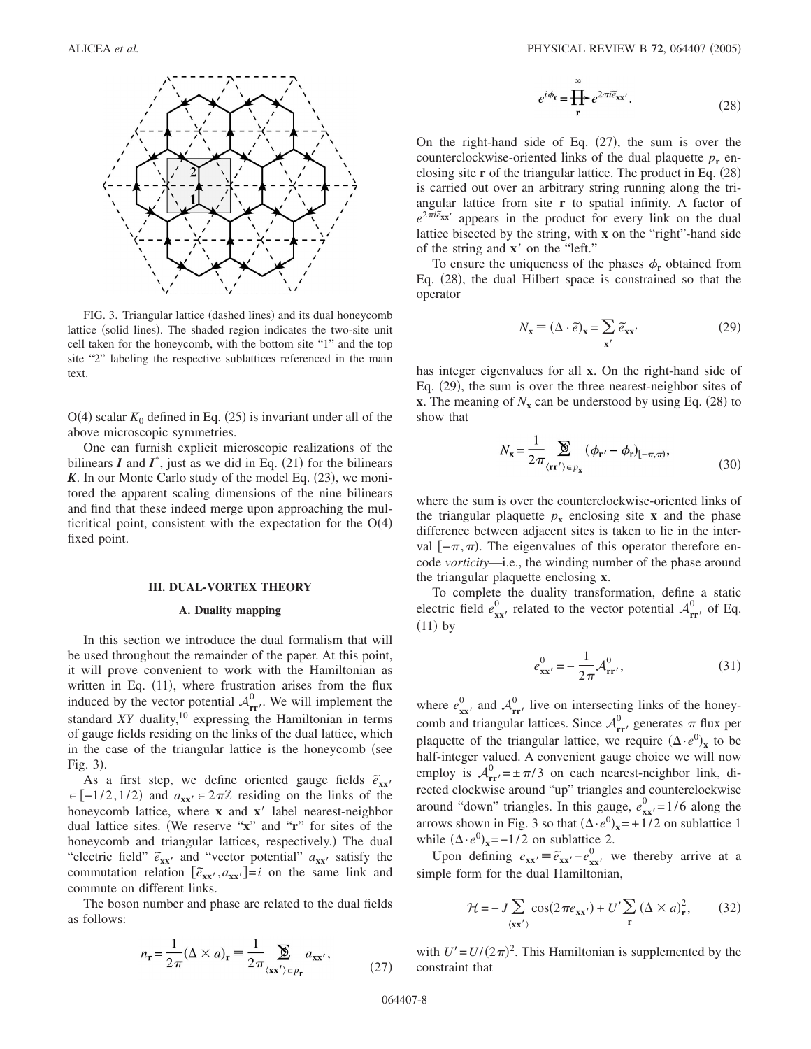

FIG. 3. Triangular lattice (dashed lines) and its dual honeycomb lattice (solid lines). The shaded region indicates the two-site unit cell taken for the honeycomb, with the bottom site "1" and the top site "2" labeling the respective sublattices referenced in the main text.

 $O(4)$  scalar  $K_0$  defined in Eq. (25) is invariant under all of the above microscopic symmetries.

One can furnish explicit microscopic realizations of the bilinears  $I$  and  $I^*$ , just as we did in Eq. (21) for the bilinears K. In our Monte Carlo study of the model Eq. (23), we monitored the apparent scaling dimensions of the nine bilinears and find that these indeed merge upon approaching the multicritical point, consistent with the expectation for the  $O(4)$ fixed point.

#### **III. DUAL-VORTEX THEORY**

## **A. Duality mapping**

In this section we introduce the dual formalism that will be used throughout the remainder of the paper. At this point, it will prove convenient to work with the Hamiltonian as written in Eq. (11), where frustration arises from the flux induced by the vector potential  $A_{rr'}^0$ . We will implement the standard *XY* duality,<sup>10</sup> expressing the Hamiltonian in terms of gauge fields residing on the links of the dual lattice, which in the case of the triangular lattice is the honeycomb (see Fig. 3).

As a first step, we define oriented gauge fields  $\tilde{e}_{xx}$  $\in [-1/2, 1/2)$  and  $a_{xx} \in 2\pi\mathbb{Z}$  residing on the links of the honeycomb lattice, where **x** and **x**' label nearest-neighbor dual lattice sites. We reserve "**x**" and "**r**" for sites of the honeycomb and triangular lattices, respectively.) The dual "electric field"  $\tilde{e}_{xx}$  and "vector potential"  $a_{xx}$  satisfy the commutation relation  $[\tilde{e}_{xx}, a_{xx}$ <sup>-</sup> $] = i$  on the same link and commute on different links.

The boson number and phase are related to the dual fields as follows:

$$
n_{\mathbf{r}} = \frac{1}{2\pi} (\Delta \times a)_{\mathbf{r}} \equiv \frac{1}{2\pi} \sum_{\langle \mathbf{x} \mathbf{x}' \rangle \in p_{\mathbf{r}}} a_{\mathbf{x} \mathbf{x}'},\tag{27}
$$

$$
e^{i\phi_{\mathbf{r}}} = \prod_{\mathbf{r}} e^{2\pi i \tilde{e}_{\mathbf{x}\mathbf{x}'}}.
$$
 (28)

On the right-hand side of Eq.  $(27)$ , the sum is over the counterclockwise-oriented links of the dual plaquette  $p_r$  enclosing site **r** of the triangular lattice. The product in Eq. (28) is carried out over an arbitrary string running along the triangular lattice from site **r** to spatial infinity. A factor of  $e^{2\pi i \tilde{e}_{xx'}}$  appears in the product for every link on the dual lattice bisected by the string, with **x** on the "right"-hand side of the string and **x**' on the "left."

To ensure the uniqueness of the phases  $\phi_r$  obtained from Eq. (28), the dual Hilbert space is constrained so that the operator

$$
N_{\mathbf{x}} \equiv (\Delta \cdot \tilde{e})_{\mathbf{x}} = \sum_{\mathbf{x}'} \tilde{e}_{\mathbf{x}\mathbf{x}'}
$$
 (29)

has integer eigenvalues for all **x**. On the right-hand side of Eq. (29), the sum is over the three nearest-neighbor sites of **x**. The meaning of  $N_x$  can be understood by using Eq. (28) to show that

$$
N_{\mathbf{x}} = \frac{1}{2\pi} \sum_{\langle \mathbf{rr}' \rangle \in p_{\mathbf{x}}} (\phi_{\mathbf{r}'} - \phi_{\mathbf{r}})_{[-\pi,\pi)},
$$
(30)

where the sum is over the counterclockwise-oriented links of the triangular plaquette  $p_x$  enclosing site **x** and the phase difference between adjacent sites is taken to lie in the interval  $[-\pi,\pi)$ . The eigenvalues of this operator therefore encode *vorticity*—i.e., the winding number of the phase around the triangular plaquette enclosing **x**.

To complete the duality transformation, define a static electric field  $e_{xx}^0$ , related to the vector potential  $\mathcal{A}_{rr}^0$ , of Eq.  $(11)$  by

$$
e_{\mathbf{x}\mathbf{x}'}^{0} = -\frac{1}{2\pi} \mathcal{A}_{\mathbf{r}\mathbf{r}'}^{0},\tag{31}
$$

where  $e_{xx}^0$  and  $A_{rr}^0$  live on intersecting links of the honeycomb and triangular lattices. Since  $A_{rr}^0$  generates  $\pi$  flux per plaquette of the triangular lattice, we require  $(\Delta \cdot e^0)_x$  to be half-integer valued. A convenient gauge choice we will now employ is  $A_{rr}^0 = \pm \pi/3$  on each nearest-neighbor link, directed clockwise around "up" triangles and counterclockwise around "down" triangles. In this gauge,  $e_{xx}^0$  = 1/6 along the arrows shown in Fig. 3 so that  $(\Delta \cdot e^0)_x = +1/2$  on sublattice 1 while  $(\Delta \cdot e^0)_x = -1/2$  on sublattice 2.

Upon defining  $e_{xx} = \tilde{e}_{xx} - e_{xx}^0$ , we thereby arrive at a simple form for the dual Hamiltonian,

$$
\mathcal{H} = -J \sum_{\langle \mathbf{x} \mathbf{x}' \rangle} \cos(2\pi e_{\mathbf{x} \mathbf{x}'}) + U' \sum_{\mathbf{r}} (\Delta \times a)_{\mathbf{r}}^2, \qquad (32)
$$

with  $U' = U/(2\pi)^2$ . This Hamiltonian is supplemented by the constraint that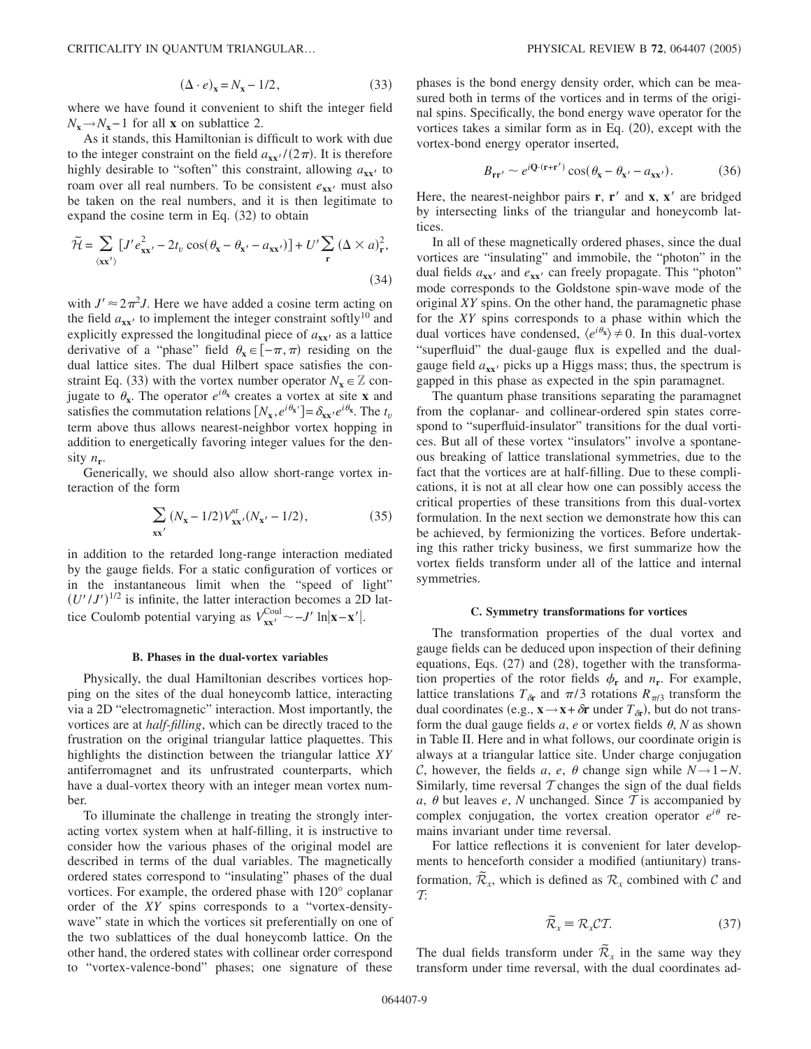$$
(\Delta \cdot e)_x = N_x - 1/2, \tag{33}
$$

where we have found it convenient to shift the integer field  $N_x \rightarrow N_x - 1$  for all **x** on sublattice 2.

As it stands, this Hamiltonian is difficult to work with due to the integer constraint on the field  $a_{xx'}/(2\pi)$ . It is therefore highly desirable to "soften" this constraint, allowing  $a_{xx}$  to roam over all real numbers. To be consistent  $e_{xx}$  must also be taken on the real numbers, and it is then legitimate to expand the cosine term in Eq.  $(32)$  to obtain

$$
\widetilde{\mathcal{H}} = \sum_{\langle \mathbf{x} \mathbf{x}' \rangle} \left[ J' e_{\mathbf{x} \mathbf{x}'}^2 - 2t_v \cos(\theta_\mathbf{x} - \theta_{\mathbf{x}'} - a_{\mathbf{x} \mathbf{x}'}) \right] + U' \sum_{\mathbf{r}} (\Delta \times a)_{\mathbf{r}}^2,
$$
\n(34)

with  $J' \approx 2\pi^2 J$ . Here we have added a cosine term acting on the field  $a_{xx}$  to implement the integer constraint softly<sup>10</sup> and explicitly expressed the longitudinal piece of  $a_{xx}$  as a lattice derivative of a "phase" field  $\theta_x \in [-\pi,\pi)$  residing on the dual lattice sites. The dual Hilbert space satisfies the constraint Eq. (33) with the vortex number operator  $N_x \in \mathbb{Z}$  conjugate to  $\theta_x$ . The operator  $e^{i\theta_x}$  creates a vortex at site **x** and satisfies the commutation relations  $[N_x, e^{i\theta_x}] = \delta_{xx'} e^{i\theta_x}$ . The  $t_v$ term above thus allows nearest-neighbor vortex hopping in addition to energetically favoring integer values for the density  $n_r$ .

Generically, we should also allow short-range vortex interaction of the form

$$
\sum_{\mathbf{x}\mathbf{x}'} (N_{\mathbf{x}} - 1/2) V_{\mathbf{x}\mathbf{x}'}^{\mathrm{sr}} (N_{\mathbf{x}'} - 1/2), \tag{35}
$$

in addition to the retarded long-range interaction mediated by the gauge fields. For a static configuration of vortices or in the instantaneous limit when the "speed of light"  $(U'/J')^{1/2}$  is infinite, the latter interaction becomes a 2D lattice Coulomb potential varying as  $V_{xx}^{Coul} \sim -J' \ln |x-x'|$ .

## **B. Phases in the dual-vortex variables**

Physically, the dual Hamiltonian describes vortices hopping on the sites of the dual honeycomb lattice, interacting via a 2D "electromagnetic" interaction. Most importantly, the vortices are at *half-filling*, which can be directly traced to the frustration on the original triangular lattice plaquettes. This highlights the distinction between the triangular lattice *XY* antiferromagnet and its unfrustrated counterparts, which have a dual-vortex theory with an integer mean vortex number.

To illuminate the challenge in treating the strongly interacting vortex system when at half-filling, it is instructive to consider how the various phases of the original model are described in terms of the dual variables. The magnetically ordered states correspond to "insulating" phases of the dual vortices. For example, the ordered phase with 120° coplanar order of the *XY* spins corresponds to a "vortex-densitywave" state in which the vortices sit preferentially on one of the two sublattices of the dual honeycomb lattice. On the other hand, the ordered states with collinear order correspond to "vortex-valence-bond" phases; one signature of these phases is the bond energy density order, which can be measured both in terms of the vortices and in terms of the original spins. Specifically, the bond energy wave operator for the vortices takes a similar form as in Eq.  $(20)$ , except with the vortex-bond energy operator inserted,

$$
B_{\mathbf{r}\mathbf{r}'} \sim e^{i\mathbf{Q}\cdot(\mathbf{r}+\mathbf{r}')} \cos(\theta_{\mathbf{x}} - \theta_{\mathbf{x}'} - a_{\mathbf{x}\mathbf{x}'}). \tag{36}
$$

Here, the nearest-neighbor pairs  $\mathbf{r}$ ,  $\mathbf{r}'$  and  $\mathbf{x}$ ,  $\mathbf{x}'$  are bridged by intersecting links of the triangular and honeycomb lattices.

In all of these magnetically ordered phases, since the dual vortices are "insulating" and immobile, the "photon" in the dual fields  $a_{xx}$  and  $e_{xx}$  can freely propagate. This "photon" mode corresponds to the Goldstone spin-wave mode of the original *XY* spins. On the other hand, the paramagnetic phase for the *XY* spins corresponds to a phase within which the dual vortices have condensed,  $\langle e^{i\theta_x} \rangle \neq 0$ . In this dual-vortex "superfluid" the dual-gauge flux is expelled and the dualgauge field  $a_{xx}$  picks up a Higgs mass; thus, the spectrum is gapped in this phase as expected in the spin paramagnet.

The quantum phase transitions separating the paramagnet from the coplanar- and collinear-ordered spin states correspond to "superfluid-insulator" transitions for the dual vortices. But all of these vortex "insulators" involve a spontaneous breaking of lattice translational symmetries, due to the fact that the vortices are at half-filling. Due to these complications, it is not at all clear how one can possibly access the critical properties of these transitions from this dual-vortex formulation. In the next section we demonstrate how this can be achieved, by fermionizing the vortices. Before undertaking this rather tricky business, we first summarize how the vortex fields transform under all of the lattice and internal symmetries.

#### **C. Symmetry transformations for vortices**

The transformation properties of the dual vortex and gauge fields can be deduced upon inspection of their defining equations, Eqs. (27) and (28), together with the transformation properties of the rotor fields  $\phi_r$  and  $n_r$ . For example, lattice translations  $T_{\delta r}$  and  $\pi/3$  rotations  $R_{\pi/3}$  transform the dual coordinates (e.g.,  $\mathbf{x} \rightarrow \mathbf{x} + \delta \mathbf{r}$  under  $T_{\delta \mathbf{r}}$ ), but do not transform the dual gauge fields  $a$ ,  $e$  or vortex fields  $\theta$ ,  $N$  as shown in Table II. Here and in what follows, our coordinate origin is always at a triangular lattice site. Under charge conjugation C, however, the fields *a*, *e*,  $\theta$  change sign while  $N \rightarrow 1 - N$ . Similarly, time reversal  $\mathcal T$  changes the sign of the dual fields  $a, \theta$  but leaves  $e, N$  unchanged. Since  $T$  is accompanied by complex conjugation, the vortex creation operator  $e^{i\theta}$  remains invariant under time reversal.

For lattice reflections it is convenient for later developments to henceforth consider a modified (antiunitary) transformation,  $\tilde{\mathcal{R}}_x$ , which is defined as  $\mathcal{R}_x$  combined with C and  $\tau$ 

$$
\widetilde{\mathcal{R}}_{x} \equiv \mathcal{R}_{x}\mathcal{C}\mathcal{T}.\tag{37}
$$

The dual fields transform under  $\tilde{\mathcal{R}}_x$  in the same way they transform under time reversal, with the dual coordinates ad-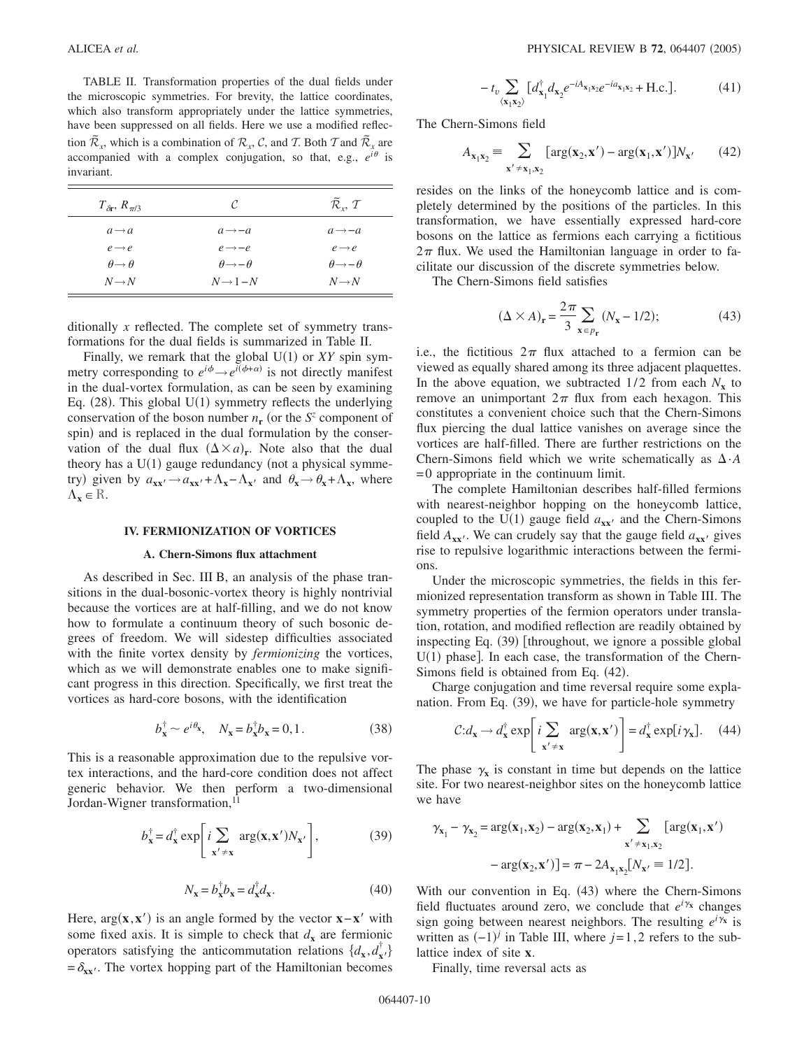TABLE II. Transformation properties of the dual fields under the microscopic symmetries. For brevity, the lattice coordinates, which also transform appropriately under the lattice symmetries, have been suppressed on all fields. Here we use a modified reflection  $\tilde{\mathcal{R}}_x$ , which is a combination of  $\mathcal{R}_x$ , C, and T. Both T and  $\tilde{\mathcal{R}}_x$  are accompanied with a complex conjugation, so that, e.g.,  $e^{i\theta}$  is invariant.

| $T_{\delta r}$ , $R_{\pi/3}$ | C                            | $\widetilde{\mathcal{R}}_{r}$ , T |
|------------------------------|------------------------------|-----------------------------------|
| $a \rightarrow a$            | $a \rightarrow -a$           | $a \rightarrow -a$                |
| $e \rightarrow e$            | $e \rightarrow -e$           | $e \rightarrow e$                 |
| $\theta \rightarrow \theta$  | $\theta \rightarrow -\theta$ | $\theta \rightarrow -\theta$      |
| $N \rightarrow N$            | $N \rightarrow 1 - N$        | $N \rightarrow N$                 |

ditionally *x* reflected. The complete set of symmetry transformations for the dual fields is summarized in Table II.

Finally, we remark that the global  $U(1)$  or  $XY$  spin symmetry corresponding to  $e^{i\phi} \rightarrow e^{i(\phi + \alpha)}$  is not directly manifest in the dual-vortex formulation, as can be seen by examining Eq.  $(28)$ . This global U(1) symmetry reflects the underlying conservation of the boson number  $n_r$  (or the  $S^z$  component of spin) and is replaced in the dual formulation by the conservation of the dual flux  $(\Delta \times a)_r$ . Note also that the dual theory has a  $U(1)$  gauge redundancy (not a physical symmetry) given by  $a_{xx} \rightarrow a_{xx} + \Lambda_x - \Lambda_{x}$  and  $\theta_x \rightarrow \theta_x + \Lambda_x$ , where  $\Lambda_{\mathbf{x}} \in \mathbb{R}$ .

## **IV. FERMIONIZATION OF VORTICES**

## **A. Chern-Simons flux attachment**

As described in Sec. III B, an analysis of the phase transitions in the dual-bosonic-vortex theory is highly nontrivial because the vortices are at half-filling, and we do not know how to formulate a continuum theory of such bosonic degrees of freedom. We will sidestep difficulties associated with the finite vortex density by *fermionizing* the vortices, which as we will demonstrate enables one to make significant progress in this direction. Specifically, we first treat the vortices as hard-core bosons, with the identification

$$
b_{\mathbf{x}}^{\dagger} \sim e^{i\theta_{\mathbf{x}}}, \quad N_{\mathbf{x}} = b_{\mathbf{x}}^{\dagger} b_{\mathbf{x}} = 0, 1. \tag{38}
$$

This is a reasonable approximation due to the repulsive vortex interactions, and the hard-core condition does not affect generic behavior. We then perform a two-dimensional Jordan-Wigner transformation,<sup>11</sup>

$$
b_{\mathbf{x}}^{\dagger} = d_{\mathbf{x}}^{\dagger} \exp\left[i \sum_{\mathbf{x}' \neq \mathbf{x}} \arg(\mathbf{x}, \mathbf{x}') N_{\mathbf{x}'}\right],\tag{39}
$$

$$
N_{\mathbf{x}} = b_{\mathbf{x}}^{\dagger} b_{\mathbf{x}} = d_{\mathbf{x}}^{\dagger} d_{\mathbf{x}}.
$$
 (40)

Here,  $arg(x, x')$  is an angle formed by the vector  $x - x'$  with some fixed axis. It is simple to check that  $d$ **x** are fermionic operators satisfying the anticommutation relations  $\{d_{\mathbf{x}}, d_{\mathbf{x}'}^{\dagger}\}$  $=\delta_{xx'}$ . The vortex hopping part of the Hamiltonian becomes

$$
-t_{v} \sum_{\langle \mathbf{x}_{1} \mathbf{x}_{2} \rangle} [d_{\mathbf{x}_{1}}^{\dagger} d_{\mathbf{x}_{2}} e^{-iA_{\mathbf{x}_{1}} \mathbf{x}_{2}} e^{-i a_{\mathbf{x}_{1}} \mathbf{x}_{2}} + \text{H.c.}]. \tag{41}
$$

The Chern-Simons field

$$
A_{\mathbf{x}_1 \mathbf{x}_2} = \sum_{\mathbf{x}' \neq \mathbf{x}_1, \mathbf{x}_2} [\arg(\mathbf{x}_2, \mathbf{x}') - \arg(\mathbf{x}_1, \mathbf{x}')] N_{\mathbf{x}'}
$$
(42)

resides on the links of the honeycomb lattice and is completely determined by the positions of the particles. In this transformation, we have essentially expressed hard-core bosons on the lattice as fermions each carrying a fictitious  $2\pi$  flux. We used the Hamiltonian language in order to facilitate our discussion of the discrete symmetries below.

The Chern-Simons field satisfies

$$
(\Delta \times A)_{\mathbf{r}} = \frac{2\pi}{3} \sum_{\mathbf{x} \in p_{\mathbf{r}}} (N_{\mathbf{x}} - 1/2); \tag{43}
$$

i.e., the fictitious  $2\pi$  flux attached to a fermion can be viewed as equally shared among its three adjacent plaquettes. In the above equation, we subtracted  $1/2$  from each  $N_{\bf{x}}$  to remove an unimportant  $2\pi$  flux from each hexagon. This constitutes a convenient choice such that the Chern-Simons flux piercing the dual lattice vanishes on average since the vortices are half-filled. There are further restrictions on the Chern-Simons field which we write schematically as  $\Delta \cdot A$ = 0 appropriate in the continuum limit.

The complete Hamiltonian describes half-filled fermions with nearest-neighbor hopping on the honeycomb lattice, coupled to the  $U(1)$  gauge field  $a_{xx'}$  and the Chern-Simons field  $A_{xx}$ . We can crudely say that the gauge field  $a_{xx}$  gives rise to repulsive logarithmic interactions between the fermions.

Under the microscopic symmetries, the fields in this fermionized representation transform as shown in Table III. The symmetry properties of the fermion operators under translation, rotation, and modified reflection are readily obtained by inspecting Eq. (39) [throughout, we ignore a possible global  $U(1)$  phase]. In each case, the transformation of the Chern-Simons field is obtained from Eq. (42).

Charge conjugation and time reversal require some explanation. From Eq. (39), we have for particle-hole symmetry

$$
\mathcal{C}:\!d_{\mathbf{x}} \to d_{\mathbf{x}}^{\dagger} \exp\bigg[i\sum_{\mathbf{x}' \neq \mathbf{x}} \arg(\mathbf{x}, \mathbf{x}')\bigg] = d_{\mathbf{x}}^{\dagger} \exp[i\gamma_{\mathbf{x}}].\tag{44}
$$

The phase  $\gamma_x$  is constant in time but depends on the lattice site. For two nearest-neighbor sites on the honeycomb lattice we have

$$
\gamma_{\mathbf{x}_1} - \gamma_{\mathbf{x}_2} = \arg(\mathbf{x}_1, \mathbf{x}_2) - \arg(\mathbf{x}_2, \mathbf{x}_1) + \sum_{\mathbf{x}' \neq \mathbf{x}_1, \mathbf{x}_2} [\arg(\mathbf{x}_1, \mathbf{x}')
$$

$$
- \arg(\mathbf{x}_2, \mathbf{x}')] = \pi - 2A_{\mathbf{x}_1 \mathbf{x}_2} [N_{\mathbf{x}'} \equiv 1/2].
$$

With our convention in Eq. (43) where the Chern-Simons field fluctuates around zero, we conclude that  $e^{i\gamma_x}$  changes sign going between nearest neighbors. The resulting  $e^{i\gamma_x}$  is written as  $(-1)^j$  in Table III, where  $j=1,2$  refers to the sublattice index of site **x**.

Finally, time reversal acts as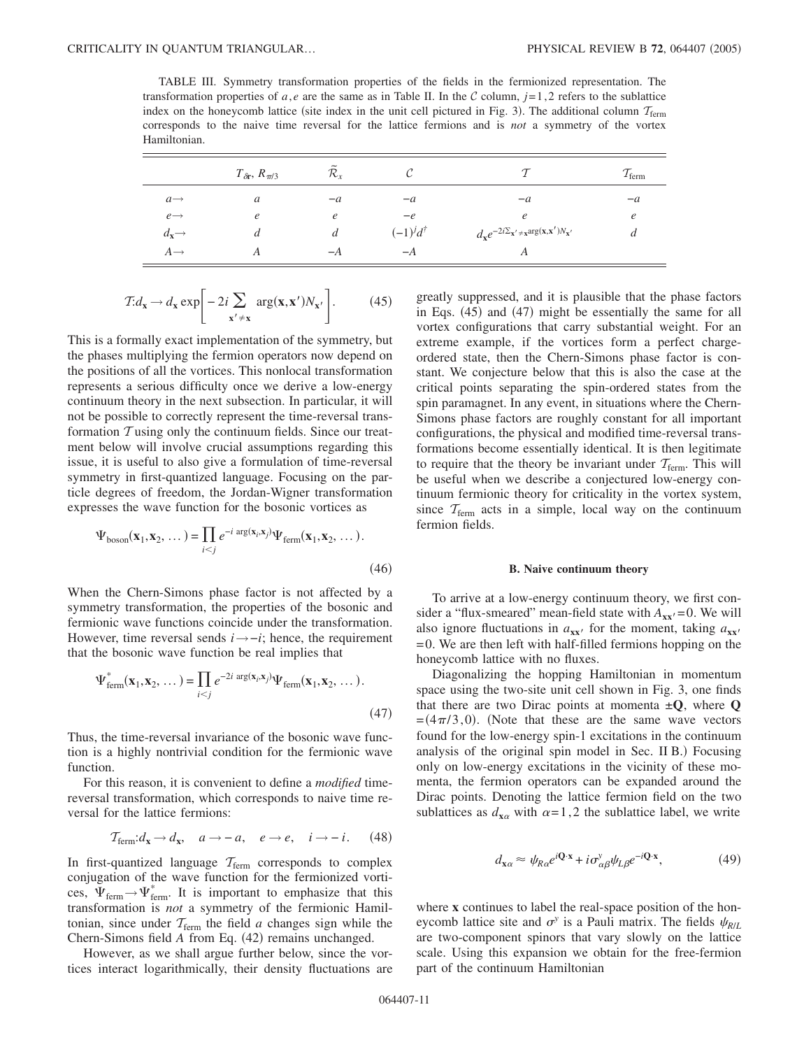TABLE III. Symmetry transformation properties of the fields in the fermionized representation. The transformation properties of *a*, *e* are the same as in Table II. In the C column,  $j=1,2$  refers to the sublattice index on the honeycomb lattice (site index in the unit cell pictured in Fig. 3). The additional column  $\tau_{\text{ferm}}$ corresponds to the naive time reversal for the lattice fermions and is *not* a symmetry of the vortex Hamiltonian.

|                              | $T_{\delta r}, R_{\pi/3}$ | $\mathcal{R}_{\rm r}$ | U                     |                                                                                                      | $I_{\text{ferm}}$ |
|------------------------------|---------------------------|-----------------------|-----------------------|------------------------------------------------------------------------------------------------------|-------------------|
| $a \rightarrow$              | a                         | $-a$                  | $-a$                  | $-a$                                                                                                 | $-a$              |
| $e \rightarrow$              | $\epsilon$                | $\epsilon$            | $-e$                  | e                                                                                                    | e                 |
| $d_{\mathbf{x}} \rightarrow$ | $\iota$                   | a                     | $(-1)^{j}d^{\dagger}$ | $d_{\mathbf{x}}e^{-2i\Sigma_{\mathbf{x}'}\neq \mathbf{x}arg(\mathbf{x},\mathbf{x}')N_{\mathbf{x}'}}$ | а                 |
| $A \rightarrow$              |                           | $-A$                  | $-A$                  | Α                                                                                                    |                   |

$$
T: d_{\mathbf{x}} \to d_{\mathbf{x}} \exp\bigg[-2i\sum_{\mathbf{x}' \neq \mathbf{x}} \arg(\mathbf{x}, \mathbf{x}')N_{\mathbf{x}'}\bigg].\tag{45}
$$

This is a formally exact implementation of the symmetry, but the phases multiplying the fermion operators now depend on the positions of all the vortices. This nonlocal transformation represents a serious difficulty once we derive a low-energy continuum theory in the next subsection. In particular, it will not be possible to correctly represent the time-reversal transformation  $T$  using only the continuum fields. Since our treatment below will involve crucial assumptions regarding this issue, it is useful to also give a formulation of time-reversal symmetry in first-quantized language. Focusing on the particle degrees of freedom, the Jordan-Wigner transformation expresses the wave function for the bosonic vortices as

$$
\Psi_{\text{boson}}(\mathbf{x}_1, \mathbf{x}_2, \dots) = \prod_{i < j} e^{-i \arg(\mathbf{x}_i, \mathbf{x}_j)} \Psi_{\text{ferm}}(\mathbf{x}_1, \mathbf{x}_2, \dots). \tag{46}
$$

When the Chern-Simons phase factor is not affected by a symmetry transformation, the properties of the bosonic and fermionic wave functions coincide under the transformation. However, time reversal sends *i*→−*i*; hence, the requirement that the bosonic wave function be real implies that

$$
\Psi_{\text{ferm}}^*(\mathbf{x}_1, \mathbf{x}_2, \dots) = \prod_{i < j} e^{-2i \arg(\mathbf{x}_i, \mathbf{x}_j)} \Psi_{\text{ferm}}(\mathbf{x}_1, \mathbf{x}_2, \dots). \tag{47}
$$

Thus, the time-reversal invariance of the bosonic wave function is a highly nontrivial condition for the fermionic wave function.

For this reason, it is convenient to define a *modified* timereversal transformation, which corresponds to naive time reversal for the lattice fermions:

$$
\mathcal{T}_{\text{ferm}}: d_{\mathbf{x}} \to d_{\mathbf{x}}, \quad a \to -a, \quad e \to e, \quad i \to -i. \tag{48}
$$

In first-quantized language  $T_{\text{ferm}}$  corresponds to complex conjugation of the wave function for the fermionized vortices,  $\Psi_{\text{ferm}} \rightarrow \Psi_{\text{ferm}}^*$ . It is important to emphasize that this transformation is *not* a symmetry of the fermionic Hamiltonian, since under  $T_{\text{ferm}}$  the field *a* changes sign while the Chern-Simons field A from Eq. (42) remains unchanged.

However, as we shall argue further below, since the vortices interact logarithmically, their density fluctuations are greatly suppressed, and it is plausible that the phase factors in Eqs. (45) and (47) might be essentially the same for all vortex configurations that carry substantial weight. For an extreme example, if the vortices form a perfect chargeordered state, then the Chern-Simons phase factor is constant. We conjecture below that this is also the case at the critical points separating the spin-ordered states from the spin paramagnet. In any event, in situations where the Chern-Simons phase factors are roughly constant for all important configurations, the physical and modified time-reversal transformations become essentially identical. It is then legitimate to require that the theory be invariant under  $T_{\text{ferm}}$ . This will be useful when we describe a conjectured low-energy continuum fermionic theory for criticality in the vortex system, since  $T_{\text{ferm}}$  acts in a simple, local way on the continuum fermion fields.

#### **B. Naive continuum theory**

To arrive at a low-energy continuum theory, we first consider a "flux-smeared" mean-field state with  $A_{xx}$ = 0. We will also ignore fluctuations in  $a_{xx}$ ' for the moment, taking  $a_{xx}$ ' =0. We are then left with half-filled fermions hopping on the honeycomb lattice with no fluxes.

Diagonalizing the hopping Hamiltonian in momentum space using the two-site unit cell shown in Fig. 3, one finds that there are two Dirac points at momenta  $\pm Q$ , where  $Q$  $=(4\pi/3,0)$ . (Note that these are the same wave vectors found for the low-energy spin-1 excitations in the continuum analysis of the original spin model in Sec. II B.) Focusing only on low-energy excitations in the vicinity of these momenta, the fermion operators can be expanded around the Dirac points. Denoting the lattice fermion field on the two sublattices as  $d_{\mathbf{x}\alpha}$  with  $\alpha = 1, 2$  the sublattice label, we write

$$
d_{\mathbf{x}\alpha} \approx \psi_{R\alpha} e^{i\mathbf{Q}\cdot\mathbf{x}} + i\sigma_{\alpha\beta}^{\nu} \psi_{L\beta} e^{-i\mathbf{Q}\cdot\mathbf{x}},\tag{49}
$$

where **x** continues to label the real-space position of the honeycomb lattice site and  $\sigma^y$  is a Pauli matrix. The fields  $\psi_{R/L}$ are two-component spinors that vary slowly on the lattice scale. Using this expansion we obtain for the free-fermion part of the continuum Hamiltonian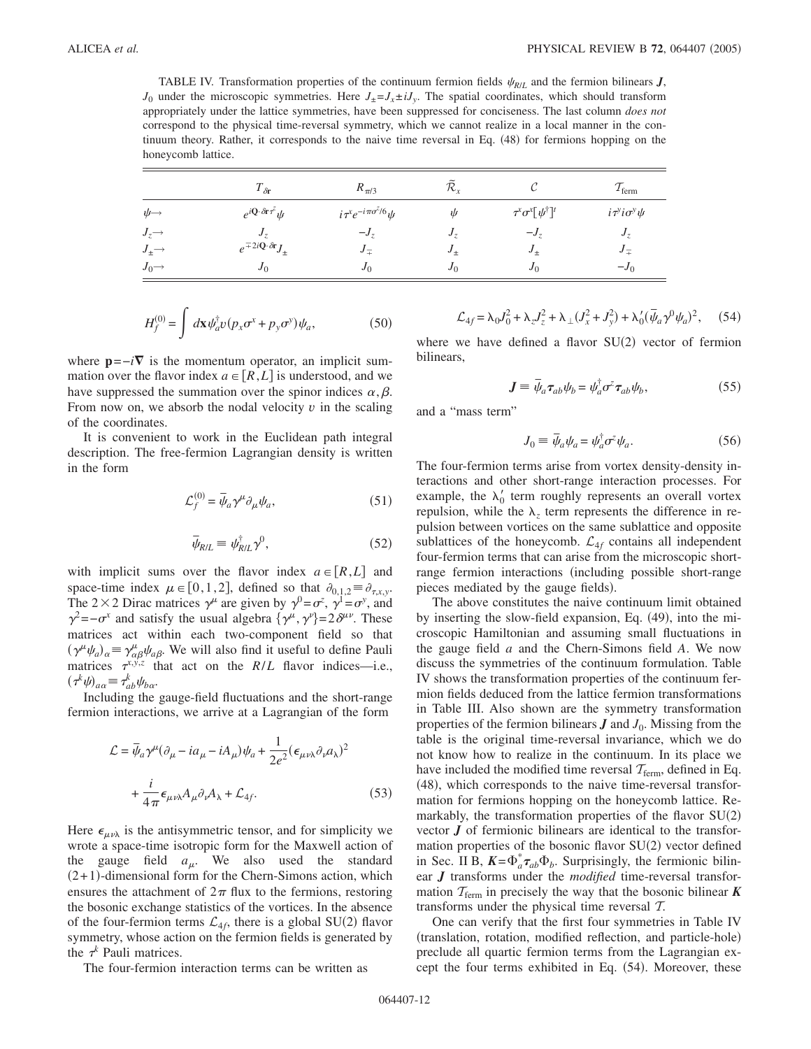TABLE IV. Transformation properties of the continuum fermion fields  $\psi_{R/L}$  and the fermion bilinears *J*,  $J_0$  under the microscopic symmetries. Here  $J_+ = J_x \pm iJ_y$ . The spatial coordinates, which should transform appropriately under the lattice symmetries, have been suppressed for conciseness. The last column *does not* correspond to the physical time-reversal symmetry, which we cannot realize in a local manner in the continuum theory. Rather, it corresponds to the naive time reversal in Eq. (48) for fermions hopping on the honeycomb lattice.

|                       | $T_{\delta\mathbf{r}}$                                  | $R_{\pi/3}$                       | R,         | U                                | $T_{\text{ferm}}$                           |
|-----------------------|---------------------------------------------------------|-----------------------------------|------------|----------------------------------|---------------------------------------------|
| $\psi \rightarrow$    | $e^{i\mathbf{Q}\cdot\delta\mathbf{r}\tau^z}\psi$        | $i\tau^x e^{-i\pi\sigma^z/6}\psi$ | ψ          | $\tau^x\sigma^x[\psi^\dagger]^t$ | $i\tau$ <sup>y</sup> io <sup>y</sup> $\psi$ |
| $J_z \rightarrow$     | J,                                                      | $-Jz$                             | $J_{\tau}$ | $-Jz$                            | $J_z$                                       |
| $J_{\pm} \rightarrow$ | $e^{\mp 2i \mathbf{Q} \cdot \delta \mathbf{r}} J_{\pm}$ | $J_{\pm}$                         | $J_{+}$    | $J_{\pm}$                        | $J_{\pm}$                                   |
| $J_0 \rightarrow$     | $J_{0}$                                                 | J <sub>0</sub>                    | $J_0$      | $J_0$                            | $-J_0$                                      |

$$
H_f^{(0)} = \int d\mathbf{x} \psi_a^{\dagger} v (p_x \sigma^x + p_y \sigma^y) \psi_a, \qquad (50)
$$

where  $\mathbf{p} = -i\nabla$  is the momentum operator, an implicit summation over the flavor index  $a \in [R, L]$  is understood, and we have suppressed the summation over the spinor indices  $\alpha, \beta$ . From now on, we absorb the nodal velocity  $v$  in the scaling of the coordinates.

It is convenient to work in the Euclidean path integral description. The free-fermion Lagrangian density is written in the form

$$
\mathcal{L}_f^{(0)} = \bar{\psi}_a \gamma^\mu \partial_\mu \psi_a,\tag{51}
$$

$$
\bar{\psi}_{R/L} \equiv \psi_{R/L}^{\dagger} \gamma^{0}, \qquad (52)
$$

with implicit sums over the flavor index  $a \in [R,L]$  and space-time index  $\mu \in [0,1,2]$ , defined so that  $\partial_{0,1,2} \equiv \partial_{\tau,x,y}$ . The 2 × 2 Dirac matrices  $\gamma^{\mu}$  are given by  $\gamma^{0} = \sigma^{z}$ ,  $\gamma^{1} = \sigma^{y}$ , and  $\gamma^2 = -\sigma^x$  and satisfy the usual algebra  $\{\gamma^\mu, \gamma^\nu\} = 2\delta^{\mu\nu}$ . These matrices act within each two-component field so that  $(\gamma^{\mu}\psi_{a})_{\alpha} \equiv \gamma^{\mu}_{\alpha\beta}\psi_{a\beta}$ . We will also find it useful to define Pauli matrices  $\tau^{x,y,z}$  that act on the *R/L* flavor indices—i.e.,  $(\tau^k \psi)_{a\alpha} \equiv \tau^k_{ab} \psi_{b\alpha}.$ 

Including the gauge-field fluctuations and the short-range fermion interactions, we arrive at a Lagrangian of the form

$$
\mathcal{L} = \bar{\psi}_a \gamma^\mu (\partial_\mu - ia_\mu - iA_\mu) \psi_a + \frac{1}{2e^2} (\epsilon_{\mu\nu\lambda} \partial_\nu a_\lambda)^2
$$

$$
+ \frac{i}{4\pi} \epsilon_{\mu\nu\lambda} A_\mu \partial_\nu A_\lambda + \mathcal{L}_{4f}.
$$
(53)

Here  $\epsilon_{\mu\nu\lambda}$  is the antisymmetric tensor, and for simplicity we wrote a space-time isotropic form for the Maxwell action of the gauge field  $a_{\mu}$ . We also used the standard  $(2+1)$ -dimensional form for the Chern-Simons action, which ensures the attachment of  $2\pi$  flux to the fermions, restoring the bosonic exchange statistics of the vortices. In the absence of the four-fermion terms  $\mathcal{L}_{4f}$ , there is a global SU(2) flavor symmetry, whose action on the fermion fields is generated by the  $\tau^k$  Pauli matrices.

The four-fermion interaction terms can be written as

$$
\mathcal{L}_{4f} = \lambda_0 J_0^2 + \lambda_z J_z^2 + \lambda_\perp (J_x^2 + J_y^2) + \lambda_0' (\bar{\psi}_a \gamma^0 \psi_a)^2, \quad (54)
$$

where we have defined a flavor  $SU(2)$  vector of fermion bilinears,

$$
\mathbf{J} \equiv \bar{\psi}_a \tau_{ab} \psi_b = \psi_a^{\dagger} \sigma^z \tau_{ab} \psi_b, \qquad (55)
$$

and a "mass term"

$$
J_0 \equiv \bar{\psi}_a \psi_a = \psi_a^{\dagger} \sigma^z \psi_a. \tag{56}
$$

The four-fermion terms arise from vortex density-density interactions and other short-range interaction processes. For example, the  $\lambda'_0$  term roughly represents an overall vortex repulsion, while the  $\lambda_z$  term represents the difference in repulsion between vortices on the same sublattice and opposite sublattices of the honeycomb.  $\mathcal{L}_{4f}$  contains all independent four-fermion terms that can arise from the microscopic shortrange fermion interactions (including possible short-range pieces mediated by the gauge fields).

The above constitutes the naive continuum limit obtained by inserting the slow-field expansion, Eq. (49), into the microscopic Hamiltonian and assuming small fluctuations in the gauge field *a* and the Chern-Simons field *A*. We now discuss the symmetries of the continuum formulation. Table IV shows the transformation properties of the continuum fermion fields deduced from the lattice fermion transformations in Table III. Also shown are the symmetry transformation properties of the fermion bilinears  $J$  and  $J_0$ . Missing from the table is the original time-reversal invariance, which we do not know how to realize in the continuum. In its place we have included the modified time reversal  $T_{\text{ferm}}$ , defined in Eq. (48), which corresponds to the naive time-reversal transformation for fermions hopping on the honeycomb lattice. Remarkably, the transformation properties of the flavor SU(2) vector *J* of fermionic bilinears are identical to the transformation properties of the bosonic flavor SU(2) vector defined in Sec. II B,  $K = \Phi_a^* \tau_{ab} \Phi_b$ . Surprisingly, the fermionic bilinear *J* transforms under the *modified* time-reversal transformation  $T_{\text{ferm}}$  in precisely the way that the bosonic bilinear **K** transforms under the physical time reversal T.

One can verify that the first four symmetries in Table IV (translation, rotation, modified reflection, and particle-hole) preclude all quartic fermion terms from the Lagrangian except the four terms exhibited in Eq. (54). Moreover, these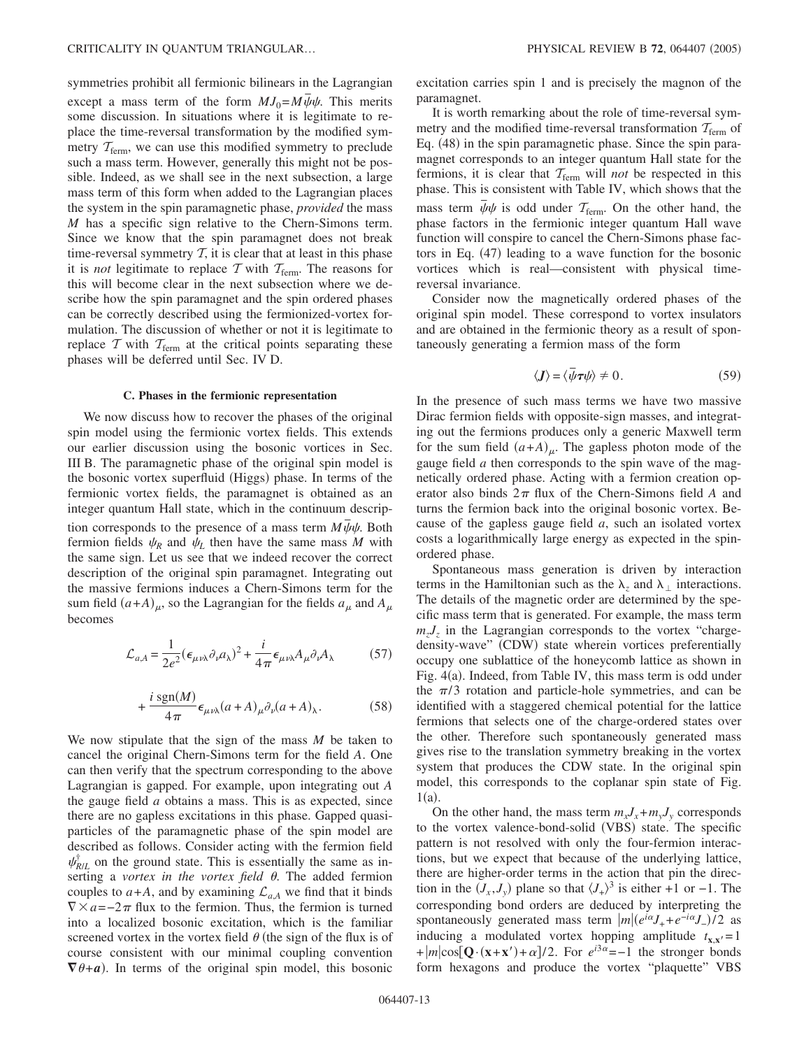symmetries prohibit all fermionic bilinears in the Lagrangian except a mass term of the form  $MJ_0=M\bar{\psi}\psi$ . This merits some discussion. In situations where it is legitimate to replace the time-reversal transformation by the modified symmetry  $T_{\text{ferm}}$ , we can use this modified symmetry to preclude such a mass term. However, generally this might not be possible. Indeed, as we shall see in the next subsection, a large mass term of this form when added to the Lagrangian places the system in the spin paramagnetic phase, *provided* the mass *M* has a specific sign relative to the Chern-Simons term. Since we know that the spin paramagnet does not break time-reversal symmetry  $T$ , it is clear that at least in this phase it is *not* legitimate to replace  $T$  with  $T_{\text{ferm}}$ . The reasons for this will become clear in the next subsection where we describe how the spin paramagnet and the spin ordered phases can be correctly described using the fermionized-vortex formulation. The discussion of whether or not it is legitimate to replace  $T$  with  $T_{\text{ferm}}$  at the critical points separating these phases will be deferred until Sec. IV D.

### **C. Phases in the fermionic representation**

We now discuss how to recover the phases of the original spin model using the fermionic vortex fields. This extends our earlier discussion using the bosonic vortices in Sec. III B. The paramagnetic phase of the original spin model is the bosonic vortex superfluid (Higgs) phase. In terms of the fermionic vortex fields, the paramagnet is obtained as an integer quantum Hall state, which in the continuum description corresponds to the presence of a mass term  $M\bar{\psi}\psi$ . Both fermion fields  $\psi_R$  and  $\psi_L$  then have the same mass M with the same sign. Let us see that we indeed recover the correct description of the original spin paramagnet. Integrating out the massive fermions induces a Chern-Simons term for the sum field  $(a+A)_{\mu}$ , so the Lagrangian for the fields  $a_{\mu}$  and  $A_{\mu}$ becomes

$$
\mathcal{L}_{a,A} = \frac{1}{2e^2} (\epsilon_{\mu\nu\lambda} \partial_{\nu} a_{\lambda})^2 + \frac{i}{4\pi} \epsilon_{\mu\nu\lambda} A_{\mu} \partial_{\nu} A_{\lambda}
$$
 (57)

$$
+\frac{i \operatorname{sgn}(M)}{4\pi} \epsilon_{\mu\nu\lambda}(a+A)_{\mu}\partial_{\nu}(a+A)_{\lambda}.
$$
 (58)

We now stipulate that the sign of the mass *M* be taken to cancel the original Chern-Simons term for the field *A*. One can then verify that the spectrum corresponding to the above Lagrangian is gapped. For example, upon integrating out *A* the gauge field *a* obtains a mass. This is as expected, since there are no gapless excitations in this phase. Gapped quasiparticles of the paramagnetic phase of the spin model are described as follows. Consider acting with the fermion field  $\psi_{R/L}^{\dagger}$  on the ground state. This is essentially the same as inserting a *vortex in the vortex field*  $\theta$ . The added fermion couples to  $a+A$ , and by examining  $\mathcal{L}_{a,A}$  we find that it binds  $\nabla \times a = -2\pi$  flux to the fermion. Thus, the fermion is turned into a localized bosonic excitation, which is the familiar screened vortex in the vortex field  $\theta$  (the sign of the flux is of course consistent with our minimal coupling convention  $\nabla \theta + \mathbf{a}$ ). In terms of the original spin model, this bosonic

excitation carries spin 1 and is precisely the magnon of the paramagnet.

It is worth remarking about the role of time-reversal symmetry and the modified time-reversal transformation  $T_{\text{ferm}}$  of Eq. (48) in the spin paramagnetic phase. Since the spin paramagnet corresponds to an integer quantum Hall state for the fermions, it is clear that  $T_{\text{ferm}}$  will *not* be respected in this phase. This is consistent with Table IV, which shows that the mass term  $\bar{\psi}\psi$  is odd under  $T_{\text{ferm}}$ . On the other hand, the phase factors in the fermionic integer quantum Hall wave function will conspire to cancel the Chern-Simons phase factors in Eq. (47) leading to a wave function for the bosonic vortices which is real—consistent with physical timereversal invariance.

Consider now the magnetically ordered phases of the original spin model. These correspond to vortex insulators and are obtained in the fermionic theory as a result of spontaneously generating a fermion mass of the form

$$
\langle \mathbf{J} \rangle = \langle \bar{\psi} \boldsymbol{\tau} \psi \rangle \neq 0. \tag{59}
$$

In the presence of such mass terms we have two massive Dirac fermion fields with opposite-sign masses, and integrating out the fermions produces only a generic Maxwell term for the sum field  $(a+A)_{\mu}$ . The gapless photon mode of the gauge field *a* then corresponds to the spin wave of the magnetically ordered phase. Acting with a fermion creation operator also binds  $2\pi$  flux of the Chern-Simons field *A* and turns the fermion back into the original bosonic vortex. Because of the gapless gauge field *a*, such an isolated vortex costs a logarithmically large energy as expected in the spinordered phase.

Spontaneous mass generation is driven by interaction terms in the Hamiltonian such as the  $\lambda_7$  and  $\lambda_1$  interactions. The details of the magnetic order are determined by the specific mass term that is generated. For example, the mass term  $m_z J_z$  in the Lagrangian corresponds to the vortex "chargedensity-wave" (CDW) state wherein vortices preferentially occupy one sublattice of the honeycomb lattice as shown in Fig. 4(a). Indeed, from Table IV, this mass term is odd under the  $\pi/3$  rotation and particle-hole symmetries, and can be identified with a staggered chemical potential for the lattice fermions that selects one of the charge-ordered states over the other. Therefore such spontaneously generated mass gives rise to the translation symmetry breaking in the vortex system that produces the CDW state. In the original spin model, this corresponds to the coplanar spin state of Fig.  $1(a)$ .

On the other hand, the mass term  $m_x J_x + m_y J_y$  corresponds to the vortex valence-bond-solid (VBS) state. The specific pattern is not resolved with only the four-fermion interactions, but we expect that because of the underlying lattice, there are higher-order terms in the action that pin the direction in the  $(J_x, J_y)$  plane so that  $\langle J_+ \rangle^3$  is either +1 or -1. The corresponding bond orders are deduced by interpreting the spontaneously generated mass term  $|m|(e^{i\alpha}J_+ + e^{-i\alpha}J_-)/2$  as inducing a modulated vortex hopping amplitude  $t_{\mathbf{x} \cdot \mathbf{x}'} = 1$ + $|m|\cos[\mathbf{Q}\cdot(\mathbf{x}+\mathbf{x}')+\alpha]/2$ . For  $e^{i3\alpha}=-1$  the stronger bonds form hexagons and produce the vortex "plaquette" VBS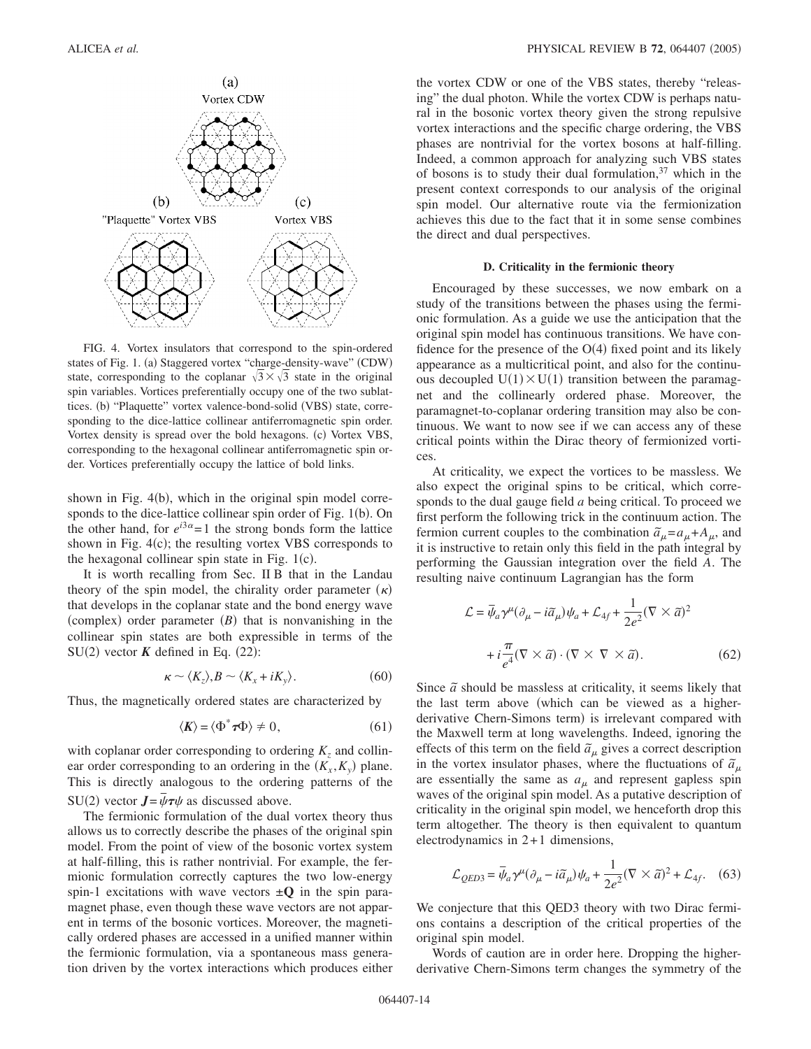

FIG. 4. Vortex insulators that correspond to the spin-ordered states of Fig. 1. (a) Staggered vortex "charge-density-wave" (CDW) state, corresponding to the coplanar  $\sqrt{3} \times \sqrt{3}$  state in the original spin variables. Vortices preferentially occupy one of the two sublattices. (b) "Plaquette" vortex valence-bond-solid (VBS) state, corresponding to the dice-lattice collinear antiferromagnetic spin order. Vortex density is spread over the bold hexagons. (c) Vortex VBS, corresponding to the hexagonal collinear antiferromagnetic spin order. Vortices preferentially occupy the lattice of bold links.

shown in Fig. 4(b), which in the original spin model corresponds to the dice-lattice collinear spin order of Fig.  $1(b)$ . On the other hand, for  $e^{i3\alpha} = 1$  the strong bonds form the lattice shown in Fig.  $4(c)$ ; the resulting vortex VBS corresponds to the hexagonal collinear spin state in Fig.  $1(c)$ .

It is worth recalling from Sec. II B that in the Landau theory of the spin model, the chirality order parameter  $(\kappa)$ that develops in the coplanar state and the bond energy wave (complex) order parameter  $(B)$  that is nonvanishing in the collinear spin states are both expressible in terms of the SU(2) vector  $K$  defined in Eq. (22):

$$
\kappa \sim \langle K_z \rangle, B \sim \langle K_x + iK_y \rangle. \tag{60}
$$

Thus, the magnetically ordered states are characterized by

$$
\langle K \rangle = \langle \Phi^* \tau \Phi \rangle \neq 0, \tag{61}
$$

with coplanar order corresponding to ordering  $K<sub>z</sub>$  and collinear order corresponding to an ordering in the  $(K_x, K_y)$  plane. This is directly analogous to the ordering patterns of the SU(2) vector  $J = \bar{\psi} \tau \psi$  as discussed above.

The fermionic formulation of the dual vortex theory thus allows us to correctly describe the phases of the original spin model. From the point of view of the bosonic vortex system at half-filling, this is rather nontrivial. For example, the fermionic formulation correctly captures the two low-energy spin-1 excitations with wave vectors  $\pm Q$  in the spin paramagnet phase, even though these wave vectors are not apparent in terms of the bosonic vortices. Moreover, the magnetically ordered phases are accessed in a unified manner within the fermionic formulation, via a spontaneous mass generation driven by the vortex interactions which produces either the vortex CDW or one of the VBS states, thereby "releasing" the dual photon. While the vortex CDW is perhaps natural in the bosonic vortex theory given the strong repulsive vortex interactions and the specific charge ordering, the VBS phases are nontrivial for the vortex bosons at half-filling. Indeed, a common approach for analyzing such VBS states of bosons is to study their dual formulation,  $37$  which in the present context corresponds to our analysis of the original spin model. Our alternative route via the fermionization achieves this due to the fact that it in some sense combines the direct and dual perspectives.

### **D. Criticality in the fermionic theory**

Encouraged by these successes, we now embark on a study of the transitions between the phases using the fermionic formulation. As a guide we use the anticipation that the original spin model has continuous transitions. We have confidence for the presence of the  $O(4)$  fixed point and its likely appearance as a multicritical point, and also for the continuous decoupled  $U(1) \times U(1)$  transition between the paramagnet and the collinearly ordered phase. Moreover, the paramagnet-to-coplanar ordering transition may also be continuous. We want to now see if we can access any of these critical points within the Dirac theory of fermionized vortices.

At criticality, we expect the vortices to be massless. We also expect the original spins to be critical, which corresponds to the dual gauge field *a* being critical. To proceed we first perform the following trick in the continuum action. The fermion current couples to the combination  $\tilde{a}_{\mu} = a_{\mu} + A_{\mu}$ , and it is instructive to retain only this field in the path integral by performing the Gaussian integration over the field *A*. The resulting naive continuum Lagrangian has the form

$$
\mathcal{L} = \bar{\psi}_a \gamma^\mu (\partial_\mu - i \tilde{a}_\mu) \psi_a + \mathcal{L}_{4f} + \frac{1}{2e^2} (\nabla \times \tilde{a})^2
$$

$$
+ i \frac{\pi}{e^4} (\nabla \times \tilde{a}) \cdot (\nabla \times \nabla \times \tilde{a}). \tag{62}
$$

Since  $\tilde{a}$  should be massless at criticality, it seems likely that the last term above which can be viewed as a higherderivative Chern-Simons term) is irrelevant compared with the Maxwell term at long wavelengths. Indeed, ignoring the effects of this term on the field  $\tilde{a}_{\mu}$  gives a correct description in the vortex insulator phases, where the fluctuations of  $\tilde{a}_{\mu}$ are essentially the same as  $a_{\mu}$  and represent gapless spin waves of the original spin model. As a putative description of criticality in the original spin model, we henceforth drop this term altogether. The theory is then equivalent to quantum electrodynamics in 2+ 1 dimensions,

$$
\mathcal{L}_{QED3} = \bar{\psi}_a \gamma^\mu (\partial_\mu - i \tilde{a}_\mu) \psi_a + \frac{1}{2e^2} (\nabla \times \tilde{a})^2 + \mathcal{L}_{4f}.
$$
 (63)

We conjecture that this QED3 theory with two Dirac fermions contains a description of the critical properties of the original spin model.

Words of caution are in order here. Dropping the higherderivative Chern-Simons term changes the symmetry of the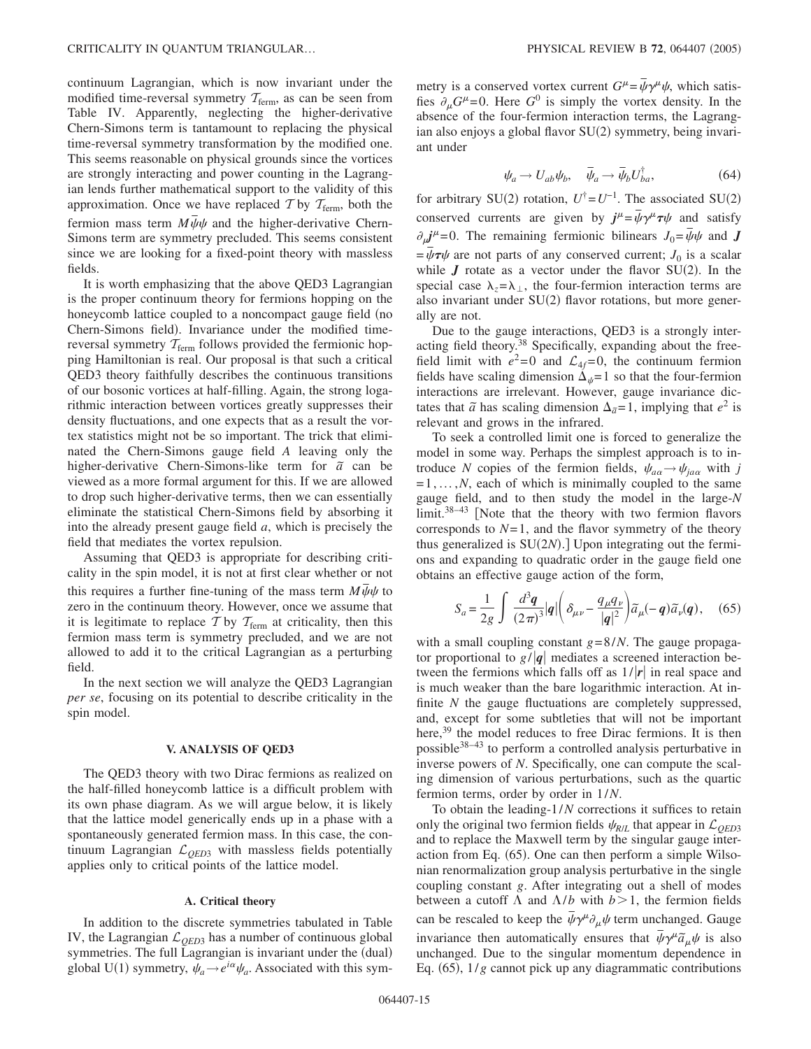continuum Lagrangian, which is now invariant under the modified time-reversal symmetry  $T_{\text{ferm}}$ , as can be seen from Table IV. Apparently, neglecting the higher-derivative Chern-Simons term is tantamount to replacing the physical time-reversal symmetry transformation by the modified one. This seems reasonable on physical grounds since the vortices are strongly interacting and power counting in the Lagrangian lends further mathematical support to the validity of this approximation. Once we have replaced T by  $T_{\text{ferm}}$ , both the fermion mass term  $M\bar{\psi}\psi$  and the higher-derivative Chern-Simons term are symmetry precluded. This seems consistent since we are looking for a fixed-point theory with massless fields.

It is worth emphasizing that the above QED3 Lagrangian is the proper continuum theory for fermions hopping on the honeycomb lattice coupled to a noncompact gauge field (no Chern-Simons field). Invariance under the modified timereversal symmetry  $T_{\text{ferm}}$  follows provided the fermionic hopping Hamiltonian is real. Our proposal is that such a critical QED3 theory faithfully describes the continuous transitions of our bosonic vortices at half-filling. Again, the strong logarithmic interaction between vortices greatly suppresses their density fluctuations, and one expects that as a result the vortex statistics might not be so important. The trick that eliminated the Chern-Simons gauge field *A* leaving only the higher-derivative Chern-Simons-like term for  $\tilde{a}$  can be viewed as a more formal argument for this. If we are allowed to drop such higher-derivative terms, then we can essentially eliminate the statistical Chern-Simons field by absorbing it into the already present gauge field *a*, which is precisely the field that mediates the vortex repulsion.

Assuming that QED3 is appropriate for describing criticality in the spin model, it is not at first clear whether or not this requires a further fine-tuning of the mass term  $M\bar{\psi}\psi$  to zero in the continuum theory. However, once we assume that it is legitimate to replace  $T$  by  $T_{\text{ferm}}$  at criticality, then this fermion mass term is symmetry precluded, and we are not allowed to add it to the critical Lagrangian as a perturbing field.

In the next section we will analyze the QED3 Lagrangian *per se*, focusing on its potential to describe criticality in the spin model.

# **V. ANALYSIS OF QED3**

The QED3 theory with two Dirac fermions as realized on the half-filled honeycomb lattice is a difficult problem with its own phase diagram. As we will argue below, it is likely that the lattice model generically ends up in a phase with a spontaneously generated fermion mass. In this case, the continuum Lagrangian L*QED*<sup>3</sup> with massless fields potentially applies only to critical points of the lattice model.

### **A. Critical theory**

In addition to the discrete symmetries tabulated in Table IV, the Lagrangian  $\mathcal{L}_{QED3}$  has a number of continuous global symmetries. The full Lagrangian is invariant under the (dual) global U(1) symmetry,  $\psi_a \rightarrow e^{i\alpha} \psi_a$ . Associated with this sym-

metry is a conserved vortex current  $G^{\mu} = \bar{\psi} \gamma^{\mu} \psi$ , which satisfies  $\partial_{\mu}G^{\mu}=0$ . Here  $G^0$  is simply the vortex density. In the absence of the four-fermion interaction terms, the Lagrangian also enjoys a global flavor SU(2) symmetry, being invariant under

$$
\psi_a \to U_{ab}\psi_b, \quad \bar{\psi}_a \to \bar{\psi}_b U_{ba}^{\dagger}, \tag{64}
$$

for arbitrary SU(2) rotation,  $U^{\dagger} = U^{-1}$ . The associated SU(2) conserved currents are given by  $j^{\mu} = \bar{\psi}\gamma^{\mu}\tau\psi$  and satisfy  $\partial_{\mu}j^{\mu}=0$ . The remaining fermionic bilinears  $J_0 = \bar{\psi}\psi$  and *J*  $=\bar{\psi}\tau\psi$  are not parts of any conserved current; *J*<sub>0</sub> is a scalar while  $J$  rotate as a vector under the flavor SU(2). In the special case  $\lambda_z = \lambda_{\perp}$ , the four-fermion interaction terms are also invariant under SU(2) flavor rotations, but more generally are not.

Due to the gauge interactions, QED3 is a strongly interacting field theory.<sup>38</sup> Specifically, expanding about the freefield limit with  $e^2=0$  and  $\mathcal{L}_{4f}=0$ , the continuum fermion fields have scaling dimension  $\Delta_{\psi} = 1$  so that the four-fermion interactions are irrelevant. However, gauge invariance dictates that  $\tilde{a}$  has scaling dimension  $\Delta_{\tilde{a}} = 1$ , implying that  $e^2$  is relevant and grows in the infrared.

To seek a controlled limit one is forced to generalize the model in some way. Perhaps the simplest approach is to introduce *N* copies of the fermion fields,  $\psi_{a\alpha} \rightarrow \psi_{j\alpha\alpha}$  with *j*  $=1, \ldots, N$ , each of which is minimally coupled to the same gauge field, and to then study the model in the large-*N*  $\lim$ it.<sup>38–43</sup> [Note that the theory with two fermion flavors corresponds to  $N=1$ , and the flavor symmetry of the theory thus generalized is SU(2N).] Upon integrating out the fermions and expanding to quadratic order in the gauge field one obtains an effective gauge action of the form,

$$
S_a = \frac{1}{2g} \int \frac{d^3 \mathbf{q}}{(2\pi)^3} |\mathbf{q}| \left( \delta_{\mu\nu} - \frac{q_\mu q_\nu}{|\mathbf{q}|^2} \right) \tilde{a}_\mu(-\mathbf{q}) \tilde{a}_\nu(\mathbf{q}), \quad (65)
$$

with a small coupling constant *g*=8/*N*. The gauge propagator proportional to  $g/|q|$  mediates a screened interaction between the fermions which falls off as  $1/|r|$  in real space and is much weaker than the bare logarithmic interaction. At infinite *N* the gauge fluctuations are completely suppressed, and, except for some subtleties that will not be important here,<sup>39</sup> the model reduces to free Dirac fermions. It is then possible<sup>38-43</sup> to perform a controlled analysis perturbative in inverse powers of *N*. Specifically, one can compute the scaling dimension of various perturbations, such as the quartic fermion terms, order by order in 1/*N*.

To obtain the leading-1/*N* corrections it suffices to retain only the original two fermion fields  $\psi_{R/L}$  that appear in  $\mathcal{L}_{OED3}$ and to replace the Maxwell term by the singular gauge interaction from Eq. (65). One can then perform a simple Wilsonian renormalization group analysis perturbative in the single coupling constant *g*. After integrating out a shell of modes between a cutoff  $\Lambda$  and  $\Lambda/b$  with  $b > 1$ , the fermion fields can be rescaled to keep the  $\bar{\psi}\gamma^{\mu}\partial_{\mu}\psi$  term unchanged. Gauge invariance then automatically ensures that  $\bar{\psi} \gamma^{\mu} \tilde{a}_{\mu} \psi$  is also unchanged. Due to the singular momentum dependence in Eq.  $(65)$ ,  $1/g$  cannot pick up any diagrammatic contributions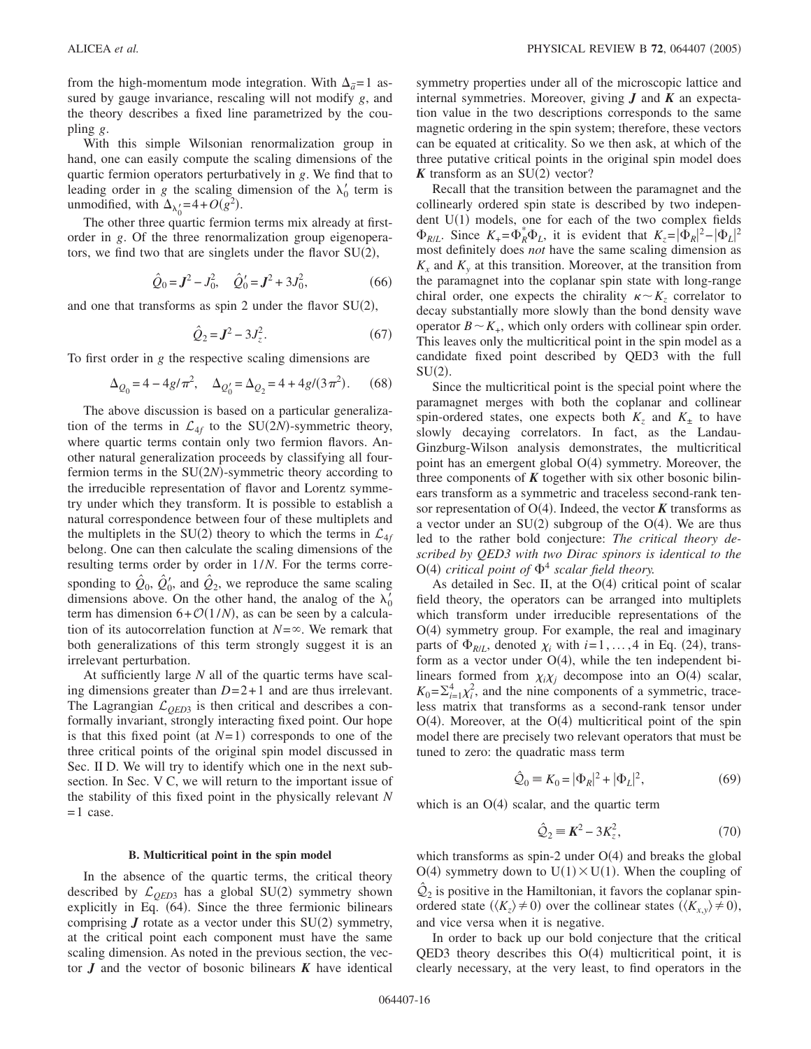from the high-momentum mode integration. With  $\Delta_{\tilde{a}} = 1$  assured by gauge invariance, rescaling will not modify *g*, and the theory describes a fixed line parametrized by the coupling *g*.

With this simple Wilsonian renormalization group in hand, one can easily compute the scaling dimensions of the quartic fermion operators perturbatively in *g*. We find that to leading order in *g* the scaling dimension of the  $\lambda'_0$  term is unmodified, with  $\Delta_{\lambda'_0} = 4 + O(g^2)$ .

The other three quartic fermion terms mix already at firstorder in *g*. Of the three renormalization group eigenoperators, we find two that are singlets under the flavor  $SU(2)$ ,

$$
\hat{Q}_0 = J^2 - J_0^2, \quad \hat{Q}'_0 = J^2 + 3J_0^2,\tag{66}
$$

and one that transforms as spin 2 under the flavor  $SU(2)$ ,

$$
\hat{Q}_2 = J^2 - 3J_z^2.
$$
 (67)

To first order in *g* the respective scaling dimensions are

$$
\Delta_{Q_0} = 4 - 4g/\pi^2, \quad \Delta_{Q'_0} = \Delta_{Q_2} = 4 + 4g/(3\pi^2). \tag{68}
$$

The above discussion is based on a particular generalization of the terms in  $\mathcal{L}_{4f}$  to the SU(2*N*)-symmetric theory, where quartic terms contain only two fermion flavors. Another natural generalization proceeds by classifying all fourfermion terms in the  $SU(2N)$ -symmetric theory according to the irreducible representation of flavor and Lorentz symmetry under which they transform. It is possible to establish a natural correspondence between four of these multiplets and the multiplets in the SU(2) theory to which the terms in  $\mathcal{L}_{4f}$ belong. One can then calculate the scaling dimensions of the resulting terms order by order in 1/*N*. For the terms corresponding to  $\hat{Q}_0$ ,  $\hat{Q}'_0$ , and  $\hat{Q}_2$ , we reproduce the same scaling dimensions above. On the other hand, the analog of the  $\lambda'_0$ term has dimension  $6 + O(1/N)$ , as can be seen by a calculation of its autocorrelation function at  $N=\infty$ . We remark that both generalizations of this term strongly suggest it is an irrelevant perturbation.

At sufficiently large *N* all of the quartic terms have scaling dimensions greater than  $D=2+1$  and are thus irrelevant. The Lagrangian  $\mathcal{L}_{OED3}$  is then critical and describes a conformally invariant, strongly interacting fixed point. Our hope is that this fixed point (at  $N=1$ ) corresponds to one of the three critical points of the original spin model discussed in Sec. II D. We will try to identify which one in the next subsection. In Sec. V C, we will return to the important issue of the stability of this fixed point in the physically relevant *N*  $= 1$  case.

## **B. Multicritical point in the spin model**

In the absence of the quartic terms, the critical theory described by  $\mathcal{L}_{QED3}$  has a global SU(2) symmetry shown explicitly in Eq. (64). Since the three fermionic bilinears comprising  $J$  rotate as a vector under this  $SU(2)$  symmetry, at the critical point each component must have the same scaling dimension. As noted in the previous section, the vector *J* and the vector of bosonic bilinears *K* have identical symmetry properties under all of the microscopic lattice and internal symmetries. Moreover, giving *J* and *K* an expectation value in the two descriptions corresponds to the same magnetic ordering in the spin system; therefore, these vectors can be equated at criticality. So we then ask, at which of the three putative critical points in the original spin model does  $K$  transform as an SU(2) vector?

Recall that the transition between the paramagnet and the collinearly ordered spin state is described by two independent  $U(1)$  models, one for each of the two complex fields  $\Phi_{R/L}$ . Since  $K_{+} = \Phi_R^* \Phi_L$ , it is evident that  $K_z = |\Phi_R|^2 - |\Phi_L|^2$ most definitely does *not* have the same scaling dimension as  $K<sub>x</sub>$  and  $K<sub>y</sub>$  at this transition. Moreover, at the transition from the paramagnet into the coplanar spin state with long-range chiral order, one expects the chirality  $\kappa \sim K_z$  correlator to decay substantially more slowly than the bond density wave operator  $B \sim K_{+}$ , which only orders with collinear spin order. This leaves only the multicritical point in the spin model as a candidate fixed point described by QED3 with the full  $SU(2)$ .

Since the multicritical point is the special point where the paramagnet merges with both the coplanar and collinear spin-ordered states, one expects both  $K_z$  and  $K_{\pm}$  to have slowly decaying correlators. In fact, as the Landau-Ginzburg-Wilson analysis demonstrates, the multicritical point has an emergent global O(4) symmetry. Moreover, the three components of  $K$  together with six other bosonic bilinears transform as a symmetric and traceless second-rank tensor representation of  $O(4)$ . Indeed, the vector  $K$  transforms as a vector under an  $SU(2)$  subgroup of the  $O(4)$ . We are thus led to the rather bold conjecture: *The critical theory described by QED3 with two Dirac spinors is identical to the*  $O(4)$  critical point of  $\Phi^4$  scalar field theory.

As detailed in Sec. II, at the  $O(4)$  critical point of scalar field theory, the operators can be arranged into multiplets which transform under irreducible representations of the O(4) symmetry group. For example, the real and imaginary parts of  $\Phi_{R/L}$ , denoted  $\chi_i$  with  $i=1,\ldots,4$  in Eq. (24), transform as a vector under  $O(4)$ , while the ten independent bilinears formed from  $\chi_i \chi_j$  decompose into an O(4) scalar,  $K_0 = \sum_{i=1}^4 \chi_i^2$ , and the nine components of a symmetric, traceless matrix that transforms as a second-rank tensor under  $O(4)$ . Moreover, at the  $O(4)$  multicritical point of the spin model there are precisely two relevant operators that must be tuned to zero: the quadratic mass term

$$
\hat{Q}_0 = K_0 = |\Phi_R|^2 + |\Phi_L|^2,\tag{69}
$$

which is an  $O(4)$  scalar, and the quartic term

$$
\hat{Q}_2 \equiv \mathbf{K}^2 - 3\mathbf{K}_z^2,\tag{70}
$$

which transforms as spin-2 under  $O(4)$  and breaks the global  $O(4)$  symmetry down to  $U(1) \times U(1)$ . When the coupling of  $\mathcal{Q}_2$  is positive in the Hamiltonian, it favors the coplanar spinordered state  $(\langle K_z \rangle \neq 0)$  over the collinear states  $(\langle K_{x,y} \rangle \neq 0)$ , and vice versa when it is negative.

In order to back up our bold conjecture that the critical QED3 theory describes this  $O(4)$  multicritical point, it is clearly necessary, at the very least, to find operators in the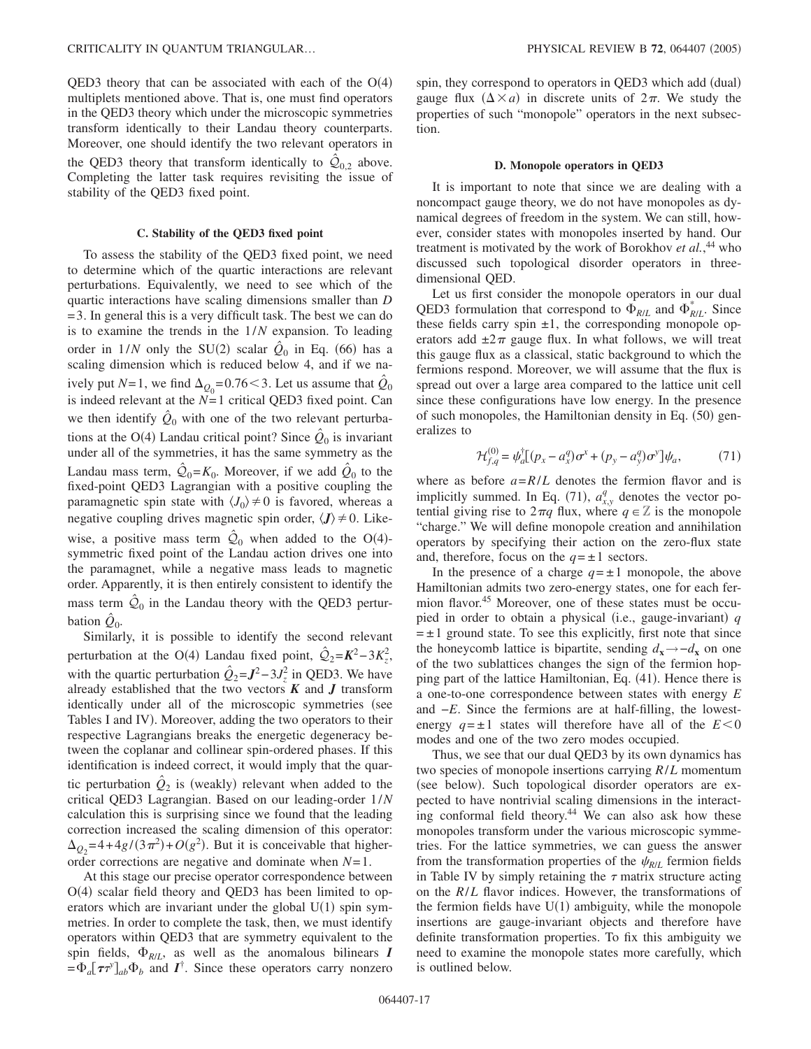QED3 theory that can be associated with each of the  $O(4)$ multiplets mentioned above. That is, one must find operators in the QED3 theory which under the microscopic symmetries transform identically to their Landau theory counterparts. Moreover, one should identify the two relevant operators in the QED3 theory that transform identically to  $Q_{0,2}$  above. Completing the latter task requires revisiting the issue of stability of the QED3 fixed point.

### **C. Stability of the QED3 fixed point**

To assess the stability of the QED3 fixed point, we need to determine which of the quartic interactions are relevant perturbations. Equivalently, we need to see which of the quartic interactions have scaling dimensions smaller than *D* = 3. In general this is a very difficult task. The best we can do is to examine the trends in the 1/*N* expansion. To leading order in  $1/N$  only the SU(2) scalar  $\hat{Q}_0$  in Eq. (66) has a scaling dimension which is reduced below 4, and if we naively put *N*=1, we find  $\Delta_{Q_0}$ =0.76 < 3. Let us assume that  $\hat{Q}_0$ is indeed relevant at the  $N=1$  critical QED3 fixed point. Can we then identify  $\hat{Q}_0$  with one of the two relevant perturbations at the O(4) Landau critical point? Since  $\hat{Q}_0$  is invariant under all of the symmetries, it has the same symmetry as the Landau mass term,  $\mathcal{Q}_0 = K_0$ . Moreover, if we add  $\mathcal{Q}_0$  to the fixed-point QED3 Lagrangian with a positive coupling the paramagnetic spin state with  $\langle J_0 \rangle \neq 0$  is favored, whereas a negative coupling drives magnetic spin order,  $\langle J \rangle \neq 0$ . Likewise, a positive mass term  $\hat{Q}_0$  when added to the O(4)symmetric fixed point of the Landau action drives one into the paramagnet, while a negative mass leads to magnetic order. Apparently, it is then entirely consistent to identify the mass term  $\mathcal{Q}_0$  in the Landau theory with the QED3 perturbation  $\ddot{Q}_0$ .

Similarly, it is possible to identify the second relevant perturbation at the O(4) Landau fixed point,  $\hat{Q}_2 = K^2 - 3K_z^2$ , with the quartic perturbation  $\hat{Q}_2 = J^2 - 3J_z^2$  in QED3. We have already established that the two vectors  $\boldsymbol{K}$  and  $\boldsymbol{J}$  transform identically under all of the microscopic symmetries (see Tables I and IV). Moreover, adding the two operators to their respective Lagrangians breaks the energetic degeneracy between the coplanar and collinear spin-ordered phases. If this identification is indeed correct, it would imply that the quartic perturbation  $\hat{Q}_2$  is (weakly) relevant when added to the critical QED3 Lagrangian. Based on our leading-order 1/*N* calculation this is surprising since we found that the leading correction increased the scaling dimension of this operator:  $\Delta_{Q_2} = 4 + 4g/(3\pi^2) + O(g^2)$ . But it is conceivable that higherorder corrections are negative and dominate when *N*=1.

At this stage our precise operator correspondence between O(4) scalar field theory and QED3 has been limited to operators which are invariant under the global  $U(1)$  spin symmetries. In order to complete the task, then, we must identify operators within QED3 that are symmetry equivalent to the spin fields,  $\Phi_{R/L}$ , as well as the anomalous bilinears *I*  $=\Phi_a[\tau \tau^y]_{ab} \Phi_b$  and  $I^{\dagger}$ . Since these operators carry nonzero

spin, they correspond to operators in QED3 which add (dual) gauge flux  $(\Delta \times a)$  in discrete units of  $2\pi$ . We study the properties of such "monopole" operators in the next subsection.

### **D. Monopole operators in QED3**

It is important to note that since we are dealing with a noncompact gauge theory, we do not have monopoles as dynamical degrees of freedom in the system. We can still, however, consider states with monopoles inserted by hand. Our treatment is motivated by the work of Borokhov *et al.*, <sup>44</sup> who discussed such topological disorder operators in threedimensional QED.

Let us first consider the monopole operators in our dual QED3 formulation that correspond to  $\Phi_{R/L}$  and  $\Phi_{R/L}^*$ . Since these fields carry spin  $\pm 1$ , the corresponding monopole operators add  $\pm 2\pi$  gauge flux. In what follows, we will treat this gauge flux as a classical, static background to which the fermions respond. Moreover, we will assume that the flux is spread out over a large area compared to the lattice unit cell since these configurations have low energy. In the presence of such monopoles, the Hamiltonian density in Eq. (50) generalizes to

$$
\mathcal{H}_{f,q}^{(0)} = \psi_a^{\dagger} [(p_x - a_x^q) \sigma^x + (p_y - a_y^q) \sigma^y] \psi_a, \tag{71}
$$

where as before  $a = R/L$  denotes the fermion flavor and is implicitly summed. In Eq. (71),  $a_{x,y}^q$  denotes the vector potential giving rise to  $2\pi q$  flux, where  $q \in \mathbb{Z}$  is the monopole "charge." We will define monopole creation and annihilation operators by specifying their action on the zero-flux state and, therefore, focus on the  $q = \pm 1$  sectors.

In the presence of a charge  $q = \pm 1$  monopole, the above Hamiltonian admits two zero-energy states, one for each fermion flavor.45 Moreover, one of these states must be occupied in order to obtain a physical (i.e., gauge-invariant) q  $= \pm 1$  ground state. To see this explicitly, first note that since the honeycomb lattice is bipartite, sending  $d_x \rightarrow -d_x$  on one of the two sublattices changes the sign of the fermion hopping part of the lattice Hamiltonian, Eq. (41). Hence there is a one-to-one correspondence between states with energy *E* and −*E*. Since the fermions are at half-filling, the lowestenergy  $q = \pm 1$  states will therefore have all of the  $E < 0$ modes and one of the two zero modes occupied.

Thus, we see that our dual QED3 by its own dynamics has two species of monopole insertions carrying *R*/*L* momentum (see below). Such topological disorder operators are expected to have nontrivial scaling dimensions in the interacting conformal field theory.<sup>44</sup> We can also ask how these monopoles transform under the various microscopic symmetries. For the lattice symmetries, we can guess the answer from the transformation properties of the  $\psi_{R/L}$  fermion fields in Table IV by simply retaining the  $\tau$  matrix structure acting on the *R*/*L* flavor indices. However, the transformations of the fermion fields have  $U(1)$  ambiguity, while the monopole insertions are gauge-invariant objects and therefore have definite transformation properties. To fix this ambiguity we need to examine the monopole states more carefully, which is outlined below.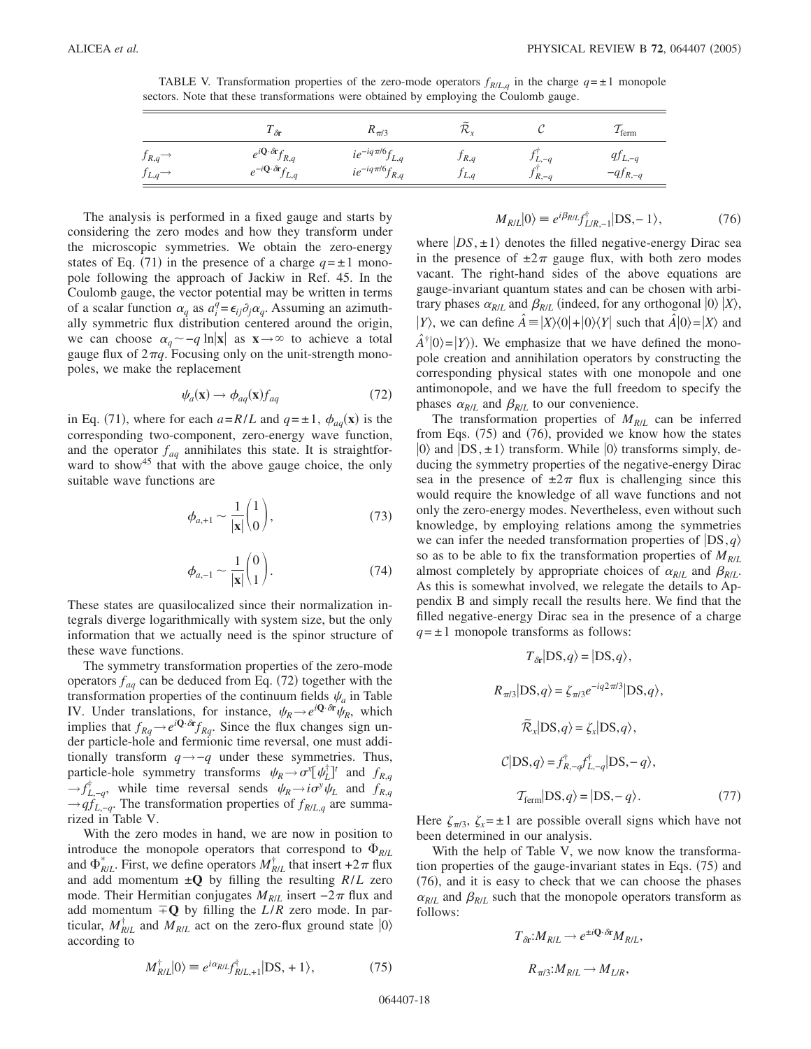TABLE V. Transformation properties of the zero-mode operators  $f_{RLLq}$  in the charge  $q = \pm 1$  monopole sectors. Note that these transformations were obtained by employing the Coulomb gauge.

|                                               | $1 \delta r$                                   | $K_{\pi/3}$            | $\tilde{\phantom{a}}$<br>`Vr |            | $\mu$ ferm   |
|-----------------------------------------------|------------------------------------------------|------------------------|------------------------------|------------|--------------|
| $f_{R,q}$                                     | $e^{i\mathbf{Q}\cdot\delta\mathbf{r}}f_{R,q}$  | $ie^{-iq\pi/6}f_{L,q}$ | $J_{R,q}$                    | $J_{L,-q}$ | $qJ_{L,-q}$  |
| $f_{L,q}$ <sup><math>\rightarrow</math></sup> | $e^{-i\mathbf{Q}\cdot\delta\mathbf{r}}f_{L,q}$ | $ie^{-iq\pi/6}f_{R,q}$ | J L, q                       | $J_{R,-q}$ | $-qf_{R,-q}$ |

The analysis is performed in a fixed gauge and starts by considering the zero modes and how they transform under the microscopic symmetries. We obtain the zero-energy states of Eq. (71) in the presence of a charge  $q = \pm 1$  monopole following the approach of Jackiw in Ref. 45. In the Coulomb gauge, the vector potential may be written in terms of a scalar function  $\alpha_q$  as  $a_i^{\bar{q}} = \epsilon_{ij} \partial_j \alpha_q$ . Assuming an azimuthally symmetric flux distribution centered around the origin, we can choose  $\alpha_q$  ∼ − q ln|x| as  $x \rightarrow \infty$  to achieve a total gauge flux of  $2\pi q$ . Focusing only on the unit-strength monopoles, we make the replacement

$$
\psi_a(\mathbf{x}) \to \phi_{aq}(\mathbf{x}) f_{aq} \tag{72}
$$

in Eq. (71), where for each  $a=R/L$  and  $q=\pm 1$ ,  $\phi_{aq}(\mathbf{x})$  is the corresponding two-component, zero-energy wave function, and the operator  $f_{aq}$  annihilates this state. It is straightforward to show<sup>45</sup> that with the above gauge choice, the only suitable wave functions are

$$
\phi_{a,+1} \sim \frac{1}{|\mathbf{x}|} \binom{1}{0},\tag{73}
$$

$$
\phi_{a,-1} \sim \frac{1}{|\mathbf{x}|} \binom{0}{1}.
$$
\n(74)

These states are quasilocalized since their normalization integrals diverge logarithmically with system size, but the only information that we actually need is the spinor structure of these wave functions.

The symmetry transformation properties of the zero-mode operators  $f_{aq}$  can be deduced from Eq. (72) together with the transformation properties of the continuum fields  $\psi_a$  in Table IV. Under translations, for instance,  $\psi_R \rightarrow e^{i\mathbf{Q}\cdot\delta\mathbf{r}} \psi_R$ , which implies that  $f_{Rq} \rightarrow e^{i\mathbf{Q} \cdot \delta t} f_{Rq}$ . Since the flux changes sign under particle-hole and fermionic time reversal, one must additionally transform *q*→−*q* under these symmetries. Thus, particle-hole symmetry transforms  $\psi_R \rightarrow \sigma^x[\psi_L^{\dagger}]^t$  and  $f_{R,q}$  $\rightarrow$  *f*<sub>L,−*q*</sub>, while time reversal sends  $\psi_R$   $\rightarrow$  *i* $\sigma$ <sup>*y*</sup> $\psi_L$  and *f<sub>R,q</sub>* →*qfL*,−*<sup>q</sup>*. The transformation properties of *fR*/*L*,*<sup>q</sup>* are summarized in Table V.

With the zero modes in hand, we are now in position to introduce the monopole operators that correspond to  $\Phi_{R/L}$ and  $\Phi_{R/L}^*$ . First, we define operators  $M_{R/L}^{\dagger}$  that insert +2 $\pi$  flux and add momentum  $\pm Q$  by filling the resulting  $R/L$  zero mode. Their Hermitian conjugates  $M_{R/L}$  insert −2 $\pi$  flux and add momentum  $\overline{+}\mathbf{Q}$  by filling the *L*/*R* zero mode. In particular,  $M_{R/L}^{\dagger}$  and  $M_{R/L}$  act on the zero-flux ground state  $|0\rangle$ according to

$$
M_{R/L}^{\dagger}|0\rangle \equiv e^{i\alpha_{R/L}} f_{R/L,+1}^{\dagger}|DS, +1\rangle, \tag{75}
$$

$$
M_{R/L}|0\rangle \equiv e^{i\beta_{R/L}} f_{L/R,-1}^{\dagger}|DS, -1\rangle,\tag{76}
$$

where  $|DS, \pm 1\rangle$  denotes the filled negative-energy Dirac sea in the presence of  $\pm 2\pi$  gauge flux, with both zero modes vacant. The right-hand sides of the above equations are gauge-invariant quantum states and can be chosen with arbitrary phases  $\alpha_{R/L}$  and  $\beta_{R/L}$  (indeed, for any orthogonal  $|0\rangle |X\rangle$ , *Y*), we can define  $\hat{A} = |X\rangle\langle 0| + |0\rangle\langle Y|$  such that  $\hat{A}|0\rangle = |X\rangle$  and  $\hat{A}^{\dagger} |0\rangle = |Y\rangle$ ). We emphasize that we have defined the monopole creation and annihilation operators by constructing the corresponding physical states with one monopole and one antimonopole, and we have the full freedom to specify the phases  $\alpha_{R/L}$  and  $\beta_{R/L}$  to our convenience.

The transformation properties of *MR*/*<sup>L</sup>* can be inferred from Eqs.  $(75)$  and  $(76)$ , provided we know how the states  $|0\rangle$  and  $|DS, \pm 1\rangle$  transform. While  $|0\rangle$  transforms simply, deducing the symmetry properties of the negative-energy Dirac sea in the presence of  $\pm 2\pi$  flux is challenging since this would require the knowledge of all wave functions and not only the zero-energy modes. Nevertheless, even without such knowledge, by employing relations among the symmetries we can infer the needed transformation properties of  $|DS, q\rangle$ so as to be able to fix the transformation properties of  $M_{R/L}$ almost completely by appropriate choices of  $\alpha_{R/L}$  and  $\beta_{R/L}$ . As this is somewhat involved, we relegate the details to Appendix B and simply recall the results here. We find that the filled negative-energy Dirac sea in the presence of a charge  $q = \pm 1$  monopole transforms as follows:

$$
T_{\partial r}|DS, q\rangle = |DS, q\rangle,
$$
  
\n
$$
R_{\pi/3}|DS, q\rangle = \zeta_{\pi/3}e^{-iq2\pi/3}|DS, q\rangle,
$$
  
\n
$$
\tilde{\mathcal{R}}_{x}|DS, q\rangle = \zeta_{x}|DS, q\rangle,
$$
  
\n
$$
\mathcal{C}|DS, q\rangle = f_{R, -q}^{\dagger}f_{L, -q}^{\dagger}|DS, -q\rangle,
$$
  
\n
$$
\mathcal{T}_{\text{ferm}}|DS, q\rangle = |DS, -q\rangle.
$$
 (77)

Here  $\zeta_{\pi/3}$ ,  $\zeta_x = \pm 1$  are possible overall signs which have not been determined in our analysis.

With the help of Table V, we now know the transformation properties of the gauge-invariant states in Eqs. (75) and (76), and it is easy to check that we can choose the phases  $\alpha_{R/L}$  and  $\beta_{R/L}$  such that the monopole operators transform as follows:

$$
T_{\delta r}:M_{R/L}\to e^{\pm i\mathbf{Q}\cdot\delta r}M_{R/L},
$$
  

$$
R_{\pi/3}:M_{R/L}\to M_{L/R},
$$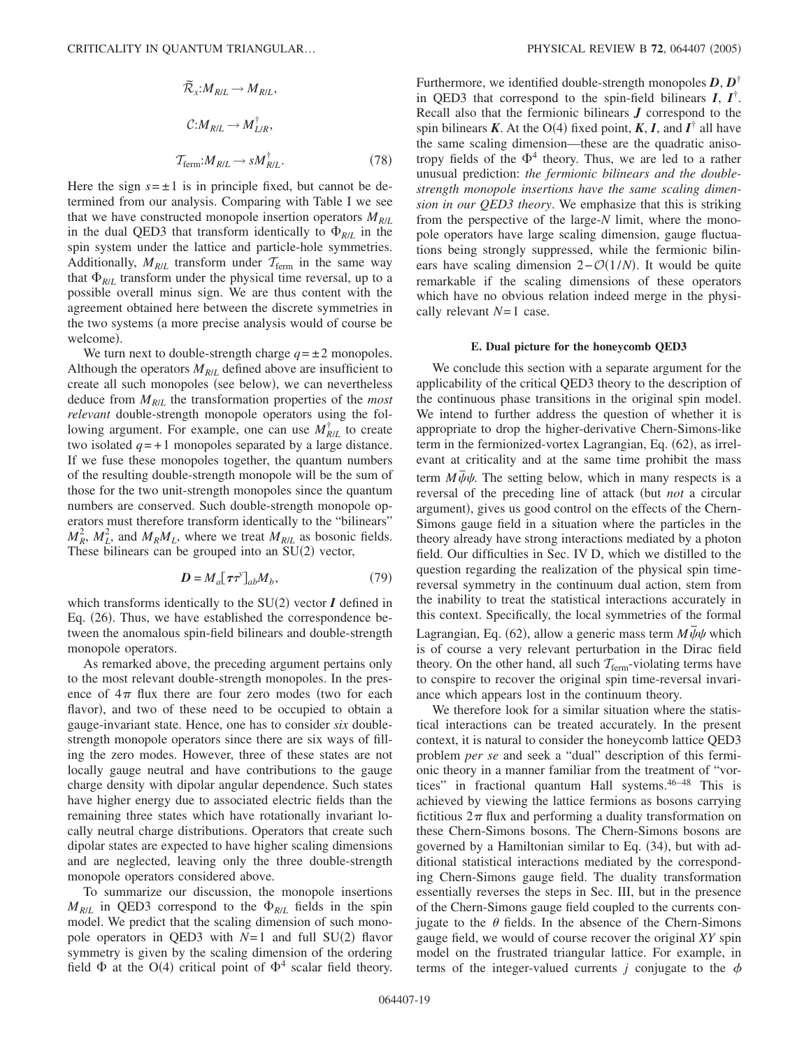$$
\tilde{\mathcal{R}}_{x}:M_{R/L} \to M_{R/L},
$$
\n
$$
C:M_{R/L} \to M_{L/R}^{\dagger},
$$
\n
$$
\mathcal{T}_{\text{ferm}}:M_{R/L} \to sM_{R/L}^{\dagger}.
$$
\n(78)

Here the sign  $s = \pm 1$  is in principle fixed, but cannot be determined from our analysis. Comparing with Table I we see that we have constructed monopole insertion operators  $M_{R/L}$ in the dual QED3 that transform identically to  $\Phi_{R/L}$  in the spin system under the lattice and particle-hole symmetries. Additionally,  $M_{R/L}$  transform under  $T_{\text{ferm}}$  in the same way that  $\Phi_{R/L}$  transform under the physical time reversal, up to a possible overall minus sign. We are thus content with the agreement obtained here between the discrete symmetries in the two systems (a more precise analysis would of course be welcome).

We turn next to double-strength charge  $q = \pm 2$  monopoles. Although the operators  $M_{R/L}$  defined above are insufficient to create all such monopoles (see below), we can nevertheless deduce from  $M_{R/L}$  the transformation properties of the *most relevant* double-strength monopole operators using the following argument. For example, one can use  $M_{R/L}^{\dagger}$  to create two isolated  $q = +1$  monopoles separated by a large distance. If we fuse these monopoles together, the quantum numbers of the resulting double-strength monopole will be the sum of those for the two unit-strength monopoles since the quantum numbers are conserved. Such double-strength monopole operators must therefore transform identically to the "bilinears"  $M_R^2$ ,  $M_L^2$ , and  $M_R M_L$ , where we treat  $M_{R/L}$  as bosonic fields. These bilinears can be grouped into an  $SU(2)$  vector,

$$
\mathbf{D} = M_a [\boldsymbol{\tau} \boldsymbol{\tau}^y]_{ab} M_b, \tag{79}
$$

which transforms identically to the  $SU(2)$  vector  $I$  defined in Eq. (26). Thus, we have established the correspondence between the anomalous spin-field bilinears and double-strength monopole operators.

As remarked above, the preceding argument pertains only to the most relevant double-strength monopoles. In the presence of  $4\pi$  flux there are four zero modes (two for each flavor), and two of these need to be occupied to obtain a gauge-invariant state. Hence, one has to consider *six* doublestrength monopole operators since there are six ways of filling the zero modes. However, three of these states are not locally gauge neutral and have contributions to the gauge charge density with dipolar angular dependence. Such states have higher energy due to associated electric fields than the remaining three states which have rotationally invariant locally neutral charge distributions. Operators that create such dipolar states are expected to have higher scaling dimensions and are neglected, leaving only the three double-strength monopole operators considered above.

To summarize our discussion, the monopole insertions  $M_{R/L}$  in QED3 correspond to the  $\Phi_{R/L}$  fields in the spin model. We predict that the scaling dimension of such monopole operators in QED3 with  $N=1$  and full SU(2) flavor symmetry is given by the scaling dimension of the ordering field  $\Phi$  at the O(4) critical point of  $\Phi^4$  scalar field theory.

Furthermore, we identified double-strength monopoles *D*, *D*† in QED3 that correspond to the spin-field bilinears  $I, I^{\dagger}$ . Recall also that the fermionic bilinears *J* correspond to the spin bilinears *K*. At the O(4) fixed point, *K*, *I*, and  $I^{\dagger}$  all have the same scaling dimension—these are the quadratic anisotropy fields of the  $\Phi^4$  theory. Thus, we are led to a rather unusual prediction: *the fermionic bilinears and the doublestrength monopole insertions have the same scaling dimension in our QED3 theory*. We emphasize that this is striking from the perspective of the large-*N* limit, where the monopole operators have large scaling dimension, gauge fluctuations being strongly suppressed, while the fermionic bilinears have scaling dimension 2– $O(1/N)$ . It would be quite remarkable if the scaling dimensions of these operators which have no obvious relation indeed merge in the physically relevant *N*= 1 case.

#### **E. Dual picture for the honeycomb QED3**

We conclude this section with a separate argument for the applicability of the critical QED3 theory to the description of the continuous phase transitions in the original spin model. We intend to further address the question of whether it is appropriate to drop the higher-derivative Chern-Simons-like term in the fermionized-vortex Lagrangian, Eq. (62), as irrelevant at criticality and at the same time prohibit the mass term  $M\bar{\psi}\psi$ . The setting below, which in many respects is a reversal of the preceding line of attack (but *not* a circular argument), gives us good control on the effects of the Chern-Simons gauge field in a situation where the particles in the theory already have strong interactions mediated by a photon field. Our difficulties in Sec. IV D, which we distilled to the question regarding the realization of the physical spin timereversal symmetry in the continuum dual action, stem from the inability to treat the statistical interactions accurately in this context. Specifically, the local symmetries of the formal Lagrangian, Eq.  $(62)$ , allow a generic mass term  $M\bar{\psi}\psi$  which is of course a very relevant perturbation in the Dirac field theory. On the other hand, all such  $T_{\text{ferm}}$ -violating terms have to conspire to recover the original spin time-reversal invariance which appears lost in the continuum theory.

We therefore look for a similar situation where the statistical interactions can be treated accurately. In the present context, it is natural to consider the honeycomb lattice QED3 problem *per se* and seek a "dual" description of this fermionic theory in a manner familiar from the treatment of "vortices" in fractional quantum Hall systems.46–48 This is achieved by viewing the lattice fermions as bosons carrying fictitious  $2\pi$  flux and performing a duality transformation on these Chern-Simons bosons. The Chern-Simons bosons are governed by a Hamiltonian similar to Eq. (34), but with additional statistical interactions mediated by the corresponding Chern-Simons gauge field. The duality transformation essentially reverses the steps in Sec. III, but in the presence of the Chern-Simons gauge field coupled to the currents conjugate to the  $\theta$  fields. In the absence of the Chern-Simons gauge field, we would of course recover the original *XY* spin model on the frustrated triangular lattice. For example, in terms of the integer-valued currents  $j$  conjugate to the  $\phi$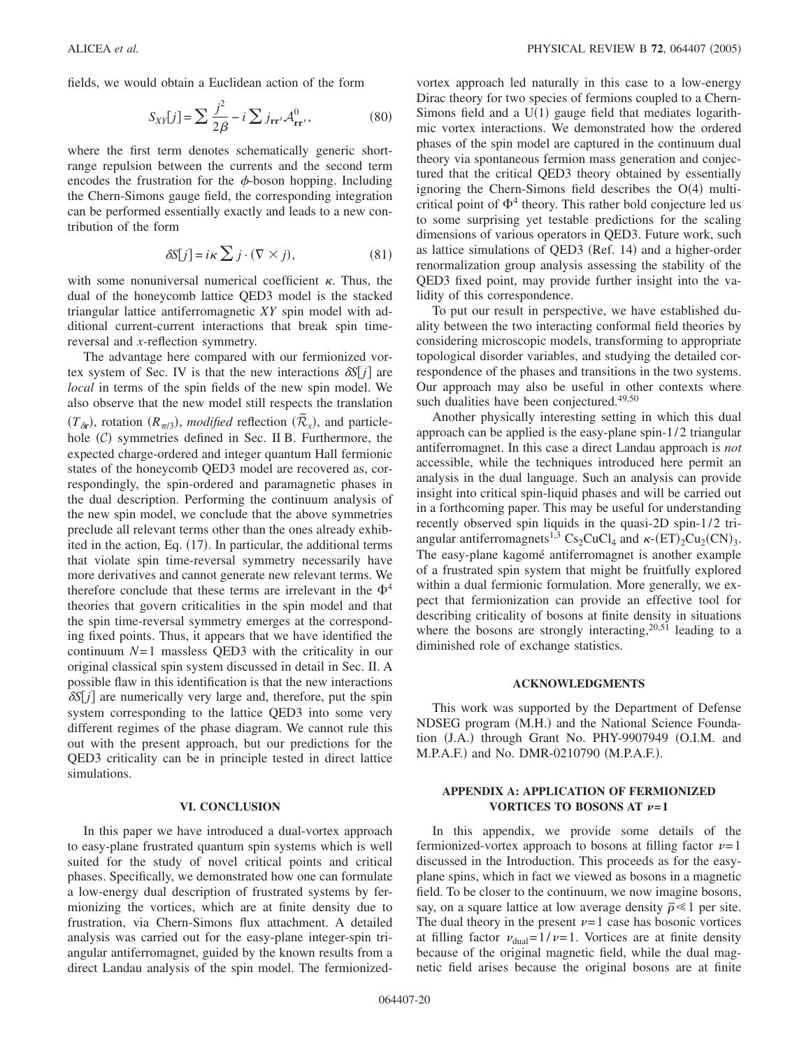fields, we would obtain a Euclidean action of the form

$$
S_{XY}[j] = \sum \frac{j^2}{2\beta} - i \sum j_{\mathbf{rr}'} \mathcal{A}_{\mathbf{rr}'}^0,
$$
 (80)

where the first term denotes schematically generic shortrange repulsion between the currents and the second term encodes the frustration for the  $\phi$ -boson hopping. Including the Chern-Simons gauge field, the corresponding integration can be performed essentially exactly and leads to a new contribution of the form

$$
\delta S[j] = i\kappa \sum j \cdot (\nabla \times j),\tag{81}
$$

with some nonuniversal numerical coefficient  $\kappa$ . Thus, the dual of the honeycomb lattice QED3 model is the stacked triangular lattice antiferromagnetic *XY* spin model with additional current-current interactions that break spin timereversal and *x*-reflection symmetry.

The advantage here compared with our fermionized vortex system of Sec. IV is that the new interactions  $\delta S[j]$  are *local* in terms of the spin fields of the new spin model. We also observe that the new model still respects the translation  $(T_{\delta r})$ , rotation  $(R_{\pi/3})$ , *modified* reflection  $(\bar{R}_x)$ , and particlehole  $(C)$  symmetries defined in Sec. II B. Furthermore, the expected charge-ordered and integer quantum Hall fermionic states of the honeycomb QED3 model are recovered as, correspondingly, the spin-ordered and paramagnetic phases in the dual description. Performing the continuum analysis of the new spin model, we conclude that the above symmetries preclude all relevant terms other than the ones already exhibited in the action, Eq. (17). In particular, the additional terms that violate spin time-reversal symmetry necessarily have more derivatives and cannot generate new relevant terms. We therefore conclude that these terms are irrelevant in the  $\Phi^4$ theories that govern criticalities in the spin model and that the spin time-reversal symmetry emerges at the corresponding fixed points. Thus, it appears that we have identified the continuum  $N=1$  massless QED3 with the criticality in our original classical spin system discussed in detail in Sec. II. A possible flaw in this identification is that the new interactions  $\delta S[j]$  are numerically very large and, therefore, put the spin system corresponding to the lattice QED3 into some very different regimes of the phase diagram. We cannot rule this out with the present approach, but our predictions for the QED3 criticality can be in principle tested in direct lattice simulations.

## **VI. CONCLUSION**

In this paper we have introduced a dual-vortex approach to easy-plane frustrated quantum spin systems which is well suited for the study of novel critical points and critical phases. Specifically, we demonstrated how one can formulate a low-energy dual description of frustrated systems by fermionizing the vortices, which are at finite density due to frustration, via Chern-Simons flux attachment. A detailed analysis was carried out for the easy-plane integer-spin triangular antiferromagnet, guided by the known results from a direct Landau analysis of the spin model. The fermionizedvortex approach led naturally in this case to a low-energy Dirac theory for two species of fermions coupled to a Chern-Simons field and a  $U(1)$  gauge field that mediates logarithmic vortex interactions. We demonstrated how the ordered phases of the spin model are captured in the continuum dual theory via spontaneous fermion mass generation and conjectured that the critical QED3 theory obtained by essentially ignoring the Chern-Simons field describes the  $O(4)$  multicritical point of  $\Phi^4$  theory. This rather bold conjecture led us to some surprising yet testable predictions for the scaling dimensions of various operators in QED3. Future work, such as lattice simulations of QED3 (Ref. 14) and a higher-order renormalization group analysis assessing the stability of the QED3 fixed point, may provide further insight into the validity of this correspondence.

To put our result in perspective, we have established duality between the two interacting conformal field theories by considering microscopic models, transforming to appropriate topological disorder variables, and studying the detailed correspondence of the phases and transitions in the two systems. Our approach may also be useful in other contexts where such dualities have been conjectured.<sup>49,50</sup>

Another physically interesting setting in which this dual approach can be applied is the easy-plane spin-1/2 triangular antiferromagnet. In this case a direct Landau approach is *not* accessible, while the techniques introduced here permit an analysis in the dual language. Such an analysis can provide insight into critical spin-liquid phases and will be carried out in a forthcoming paper. This may be useful for understanding recently observed spin liquids in the quasi-2D spin-1/2 triangular antiferromagnets<sup>1,3</sup> Cs<sub>2</sub>CuCl<sub>4</sub> and  $\kappa$ -(ET)<sub>2</sub>Cu<sub>2</sub>(CN)<sub>3</sub>. The easy-plane kagomé antiferromagnet is another example of a frustrated spin system that might be fruitfully explored within a dual fermionic formulation. More generally, we expect that fermionization can provide an effective tool for describing criticality of bosons at finite density in situations where the bosons are strongly interacting,  $20,51$  leading to a diminished role of exchange statistics.

## **ACKNOWLEDGMENTS**

This work was supported by the Department of Defense NDSEG program (M.H.) and the National Science Foundation (J.A.) through Grant No. PHY-9907949 (O.I.M. and M.P.A.F.) and No. DMR-0210790 (M.P.A.F.).

## **APPENDIX A: APPLICATION OF FERMIONIZED VORTICES TO BOSONS AT**  $\nu=1$

In this appendix, we provide some details of the fermionized-vortex approach to bosons at filling factor  $\nu = 1$ discussed in the Introduction. This proceeds as for the easyplane spins, which in fact we viewed as bosons in a magnetic field. To be closer to the continuum, we now imagine bosons, say, on a square lattice at low average density  $\bar{\rho} \le 1$  per site. The dual theory in the present  $\nu = 1$  case has bosonic vortices at filling factor  $\nu_{\text{dual}} = 1/\nu = 1$ . Vortices are at finite density because of the original magnetic field, while the dual magnetic field arises because the original bosons are at finite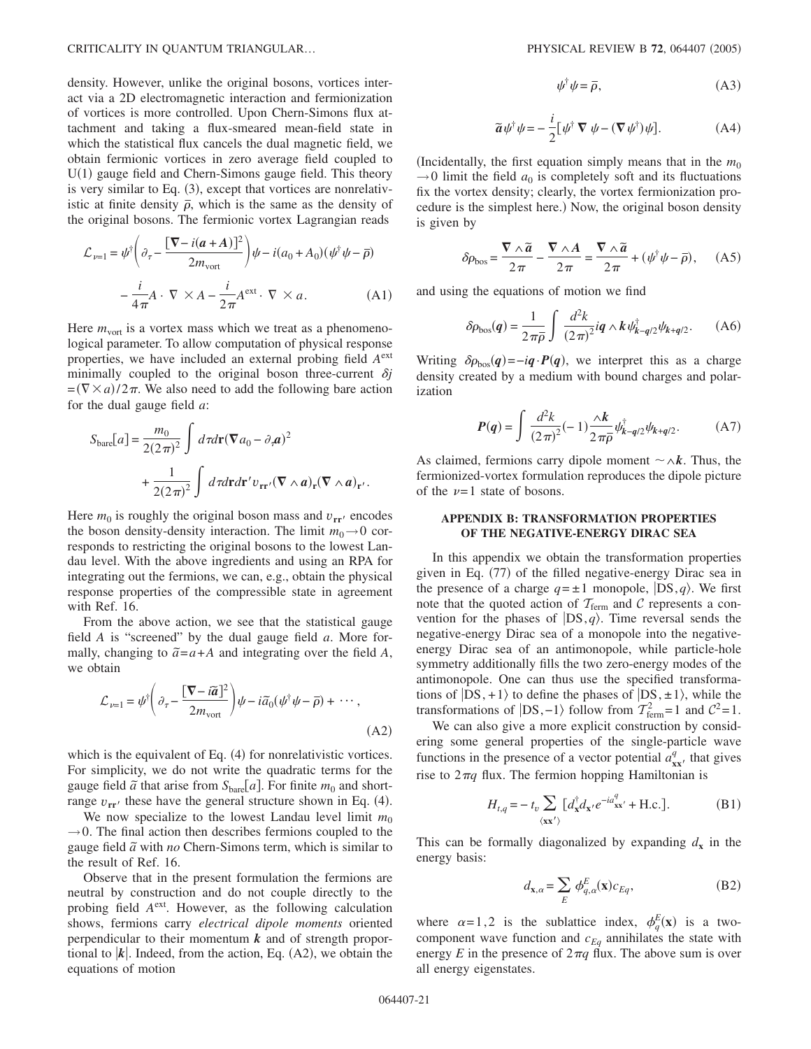density. However, unlike the original bosons, vortices interact via a 2D electromagnetic interaction and fermionization of vortices is more controlled. Upon Chern-Simons flux attachment and taking a flux-smeared mean-field state in which the statistical flux cancels the dual magnetic field, we obtain fermionic vortices in zero average field coupled to U(1) gauge field and Chern-Simons gauge field. This theory is very similar to Eq.  $(3)$ , except that vortices are nonrelativistic at finite density  $\bar{\rho}$ , which is the same as the density of the original bosons. The fermionic vortex Lagrangian reads

$$
\mathcal{L}_{\nu=1} = \psi^{\dagger} \left( \partial_{\tau} - \frac{[\nabla - i(a + A)]^2}{2m_{\text{vort}}} \right) \psi - i(a_0 + A_0)(\psi^{\dagger} \psi - \overline{\rho})
$$

$$
- \frac{i}{4\pi} A \cdot \nabla \times A - \frac{i}{2\pi} A^{\text{ext}} \cdot \nabla \times a. \tag{A1}
$$

Here  $m_{\text{vort}}$  is a vortex mass which we treat as a phenomenological parameter. To allow computation of physical response properties, we have included an external probing field *A*ext minimally coupled to the original boson three-current  $\delta j$  $=(\nabla \times a)/2\pi$ . We also need to add the following bare action for the dual gauge field *a*:

$$
S_{\text{bare}}[a] = \frac{m_0}{2(2\pi)^2} \int d\tau d\mathbf{r} (\nabla a_0 - \partial_{\tau} \mathbf{a})^2
$$

$$
+ \frac{1}{2(2\pi)^2} \int d\tau d\mathbf{r} d\mathbf{r}' v_{\mathbf{r}\mathbf{r}'} (\nabla \wedge \mathbf{a})_{\mathbf{r}} (\nabla \wedge \mathbf{a})_{\mathbf{r}'}.
$$

Here  $m_0$  is roughly the original boson mass and  $v_{rr}$  encodes the boson density-density interaction. The limit  $m_0 \rightarrow 0$  corresponds to restricting the original bosons to the lowest Landau level. With the above ingredients and using an RPA for integrating out the fermions, we can, e.g., obtain the physical response properties of the compressible state in agreement with Ref. 16.

From the above action, we see that the statistical gauge field *A* is "screened" by the dual gauge field *a*. More formally, changing to  $\tilde{a} = a + A$  and integrating over the field *A*, we obtain

$$
\mathcal{L}_{\nu=1} = \psi^{\dagger} \left( \partial_{\tau} - \frac{\left[ \nabla - \tilde{a} \right]^2}{2m_{\text{vort}}} \right) \psi - i \tilde{a}_0 (\psi^{\dagger} \psi - \bar{\rho}) + \cdots , \tag{A2}
$$

which is the equivalent of Eq. (4) for nonrelativistic vortices. For simplicity, we do not write the quadratic terms for the gauge field  $\tilde{a}$  that arise from  $S_{\text{bare}}[a]$ . For finite  $m_0$  and shortrange  $v_{rr}$  these have the general structure shown in Eq. (4).

We now specialize to the lowest Landau level limit  $m_0$  $\rightarrow$  0. The final action then describes fermions coupled to the gauge field  $\tilde{a}$  with *no* Chern-Simons term, which is similar to the result of Ref. 16.

Observe that in the present formulation the fermions are neutral by construction and do not couple directly to the probing field *A*ext. However, as the following calculation shows, fermions carry *electrical dipole moments* oriented perpendicular to their momentum *k* and of strength proportional to  $|k|$ . Indeed, from the action, Eq.  $(A2)$ , we obtain the equations of motion

$$
\psi^{\dagger}\psi = \overline{\rho},\tag{A3}
$$

$$
\widetilde{a}\psi^{\dagger}\psi = -\frac{i}{2}[\psi^{\dagger}\,\nabla\,\psi - (\nabla\,\psi^{\dagger})\psi].\tag{A4}
$$

(Incidentally, the first equation simply means that in the  $m_0$  $\rightarrow$ 0 limit the field  $a_0$  is completely soft and its fluctuations fix the vortex density; clearly, the vortex fermionization procedure is the simplest here.) Now, the original boson density is given by

$$
\delta \rho_{\rm bos} = \frac{\nabla \wedge \widetilde{a}}{2\pi} - \frac{\nabla \wedge A}{2\pi} = \frac{\nabla \wedge \widetilde{a}}{2\pi} + (\psi^{\dagger} \psi - \overline{\rho}), \quad (A5)
$$

and using the equations of motion we find

$$
\delta \rho_{\rm bos}(q) = \frac{1}{2\pi\overline{\rho}} \int \frac{d^2k}{(2\pi)^2} i\mathbf{q} \wedge k \psi_{\mathbf{k}-\mathbf{q}/2}^\dagger \psi_{\mathbf{k}+\mathbf{q}/2}.
$$
 (A6)

Writing  $\delta \rho_{\text{bos}}(q) = -i q \cdot P(q)$ , we interpret this as a charge density created by a medium with bound charges and polarization

$$
P(q) = \int \frac{d^2k}{(2\pi)^2} (-1) \frac{\lambda k}{2\pi \bar{\rho}} \psi_{k-q/2}^{\dagger} \psi_{k+q/2}.
$$
 (A7)

As claimed, fermions carry dipole moment  $\sim \land k$ . Thus, the fermionized-vortex formulation reproduces the dipole picture of the  $\nu=1$  state of bosons.

# **APPENDIX B: TRANSFORMATION PROPERTIES OF THE NEGATIVE-ENERGY DIRAC SEA**

In this appendix we obtain the transformation properties given in Eq. (77) of the filled negative-energy Dirac sea in the presence of a charge  $q = \pm 1$  monopole,  $|DS, q\rangle$ . We first note that the quoted action of  $T_{\text{ferm}}$  and C represents a convention for the phases of  $|DS,q\rangle$ . Time reversal sends the negative-energy Dirac sea of a monopole into the negativeenergy Dirac sea of an antimonopole, while particle-hole symmetry additionally fills the two zero-energy modes of the antimonopole. One can thus use the specified transformations of  $|DS, +1\rangle$  to define the phases of  $|DS, \pm 1\rangle$ , while the transformations of  $|DS, -1\rangle$  follow from  $T_{\text{ferm}}^2 = 1$  and  $C^2 = 1$ .

We can also give a more explicit construction by considering some general properties of the single-particle wave functions in the presence of a vector potential  $a_{xx}^q$ , that gives rise to  $2\pi q$  flux. The fermion hopping Hamiltonian is

$$
H_{t,q} = -t_v \sum_{\langle \mathbf{x} \mathbf{x}' \rangle} [d_{\mathbf{x}}^{\dagger} d_{\mathbf{x}'} e^{-i a_{\mathbf{x} \mathbf{x}'}^q} + \text{H.c.}]. \tag{B1}
$$

This can be formally diagonalized by expanding  $d_x$  in the energy basis:

$$
d_{\mathbf{x},\alpha} = \sum_{E} \phi_{q,\alpha}^{E}(\mathbf{x}) c_{Eq},
$$
 (B2)

where  $\alpha = 1, 2$  is the sublattice index,  $\phi_q^E(\mathbf{x})$  is a twocomponent wave function and  $c_{Eq}$  annihilates the state with energy *E* in the presence of  $2\pi q$  flux. The above sum is over all energy eigenstates.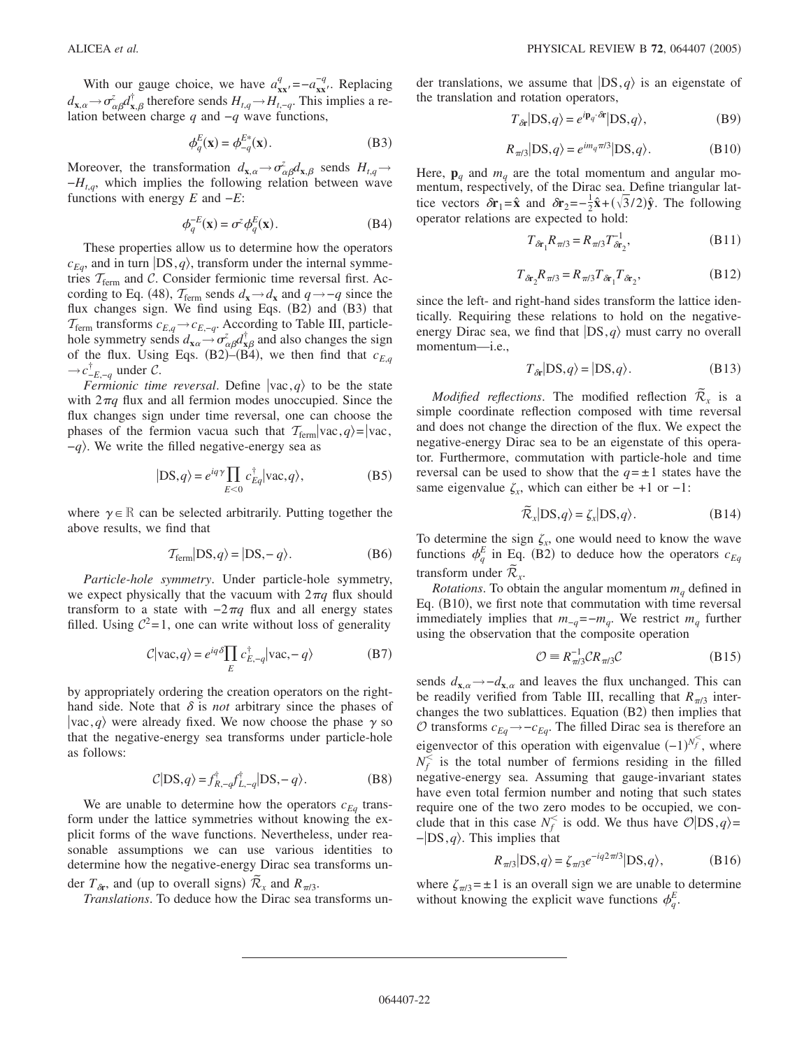With our gauge choice, we have  $a_{xx}^q = -a_{xx}^{-q}$ . Replacing  $d_{\mathbf{x},\alpha} \rightarrow \sigma_{\alpha\beta}^z d_{\mathbf{x},\beta}^{\dagger}$  therefore sends  $H_{t,q} \rightarrow H_{t,-q}$ . This implies a relation between charge *q* and −*q* wave functions,

$$
\phi_q^E(\mathbf{x}) = \phi_{-q}^{E^*}(\mathbf{x}).\tag{B3}
$$

Moreover, the transformation  $d_{\mathbf{x},\alpha} \to \sigma_{\alpha\beta}^z d_{\mathbf{x},\beta}$  sends  $H_{t,q} \to$ −*Ht*,*q*, which implies the following relation between wave functions with energy *E* and −*E*:

$$
\phi_q^{-E}(\mathbf{x}) = \sigma^z \phi_q^E(\mathbf{x}).\tag{B4}
$$

These properties allow us to determine how the operators  $c_{Eq}$ , and in turn  $|DS, q\rangle$ , transform under the internal symmetries  $T_{\text{ferm}}$  and C. Consider fermionic time reversal first. According to Eq. (48),  $T_{\text{ferm}}$  sends  $d_{\mathbf{x}} \rightarrow d_{\mathbf{x}}$  and  $q \rightarrow -q$  since the flux changes sign. We find using Eqs. (B2) and (B3) that  $\tau_{\text{ferm}}$  transforms  $c_{E,q} \rightarrow c_{E,-q}$ . According to Table III, particlehole symmetry sends  $d_{\mathbf{x}\alpha} \rightarrow \sigma_{\alpha\beta}^z d_{\mathbf{x}\beta}^\dagger$  and also changes the sign of the flux. Using Eqs. (B2)–(B4), we then find that  $c_{E,q}$  $\rightarrow$ *c*<sup> $†$ </sup><sub>−*E*,−*q*</sub> under *C*.

*Fermionic time reversal.* Define  $|vac,q\rangle$  to be the state with  $2\pi q$  flux and all fermion modes unoccupied. Since the flux changes sign under time reversal, one can choose the phases of the fermion vacua such that  $T_{\text{ferm}}|vac, q\rangle=|vac|$ , −*q*. We write the filled negative-energy sea as

$$
|DS, q\rangle = e^{iq\gamma} \prod_{E < 0} c_{Eq}^{\dagger} |vac, q\rangle,\tag{B5}
$$

where  $\gamma \in \mathbb{R}$  can be selected arbitrarily. Putting together the above results, we find that

$$
\mathcal{T}_{\text{ferm}}|DS,q\rangle = |DS,-q\rangle. \tag{B6}
$$

*Particle-hole symmetry*. Under particle-hole symmetry, we expect physically that the vacuum with  $2\pi q$  flux should transform to a state with  $-2\pi q$  flux and all energy states filled. Using  $C^2 = 1$ , one can write without loss of generality

$$
C|\text{vac}, q\rangle = e^{iq\delta} \prod_{E} c_{E,-q}^{\dagger} |\text{vac}, -q\rangle \tag{B7}
$$

by appropriately ordering the creation operators on the righthand side. Note that  $\delta$  is *not* arbitrary since the phases of  $\langle vac, q \rangle$  were already fixed. We now choose the phase  $\gamma$  so that the negative-energy sea transforms under particle-hole as follows:

$$
\mathcal{C}|DS,q\rangle = f_{R,-q}^{\dagger} f_{L,-q}^{\dagger} |DS,-q\rangle. \tag{B8}
$$

We are unable to determine how the operators  $c_{Eq}$  transform under the lattice symmetries without knowing the explicit forms of the wave functions. Nevertheless, under reasonable assumptions we can use various identities to determine how the negative-energy Dirac sea transforms under  $T_{\delta r}$ , and (up to overall signs)  $\tilde{\mathcal{R}}_x$  and  $\mathcal{R}_{\pi/3}$ .

*Translations*. To deduce how the Dirac sea transforms un-

der translations, we assume that  $|DS,q\rangle$  is an eigenstate of the translation and rotation operators,

$$
T_{\delta r} |DS, q\rangle = e^{i\mathbf{p}_q \cdot \delta \mathbf{r}} |DS, q\rangle, \tag{B9}
$$

$$
R_{\pi/3}|DS,q\rangle = e^{im_q \pi/3}|DS,q\rangle.
$$
 (B10)

Here,  $\mathbf{p}_q$  and  $m_q$  are the total momentum and angular momentum, respectively, of the Dirac sea. Define triangular lattice vectors  $\delta \mathbf{r}_1 = \hat{\mathbf{x}}$  and  $\delta \mathbf{r}_2 = -\frac{1}{2} \hat{\mathbf{x}} + (\sqrt{3}/2) \hat{\mathbf{y}}$ . The following operator relations are expected to hold:

$$
T_{\delta r_1} R_{\pi/3} = R_{\pi/3} T_{\delta r_2}^{-1},
$$
 (B11)

$$
T_{\delta \mathbf{r}_2} R_{\pi/3} = R_{\pi/3} T_{\delta \mathbf{r}_1} T_{\delta \mathbf{r}_2},
$$
 (B12)

since the left- and right-hand sides transform the lattice identically. Requiring these relations to hold on the negativeenergy Dirac sea, we find that  $|DS,q\rangle$  must carry no overall momentum—i.e.,

$$
T_{\delta r}|DS, q\rangle = |DS, q\rangle. \tag{B13}
$$

*Modified reflections*. The modified reflection  $\tilde{\mathcal{R}}_x$  is a simple coordinate reflection composed with time reversal and does not change the direction of the flux. We expect the negative-energy Dirac sea to be an eigenstate of this operator. Furthermore, commutation with particle-hole and time reversal can be used to show that the  $q = \pm 1$  states have the same eigenvalue  $\zeta_x$ , which can either be +1 or −1:

$$
\widetilde{\mathcal{R}}_x |DS, q\rangle = \zeta_x |DS, q\rangle. \tag{B14}
$$

To determine the sign  $\zeta_x$ , one would need to know the wave functions  $\phi_q^E$  in Eq. (B2) to deduce how the operators  $c_{Eq}$ transform under  $\widetilde{\mathcal{R}}_x$ .

*Rotations*. To obtain the angular momentum  $m_q$  defined in Eq. (B10), we first note that commutation with time reversal immediately implies that  $m_{-q} = -m_q$ . We restrict  $m_q$  further using the observation that the composite operation

$$
\mathcal{O} \equiv R_{\pi/3}^{-1} \mathcal{C} R_{\pi/3} \mathcal{C}
$$
 (B15)

sends  $d_{\mathbf{x},\alpha}$  → − $d_{\mathbf{x},\alpha}$  and leaves the flux unchanged. This can be readily verified from Table III, recalling that  $R_{\pi/3}$  interchanges the two sublattices. Equation (B2) then implies that *O* transforms  $c_{Eq} \rightarrow -c_{Eq}$ . The filled Dirac sea is therefore an eigenvector of this operation with eigenvalue  $(-1)^{N_f^<}$ , where  $N_f^{\le}$  is the total number of fermions residing in the filled negative-energy sea. Assuming that gauge-invariant states have even total fermion number and noting that such states require one of the two zero modes to be occupied, we conclude that in this case  $N_f^{\le}$  is odd. We thus have  $\mathcal{O}|DS,q\rangle =$ −DS,*q*. This implies that

$$
R_{\pi/3}|DS,q\rangle = \zeta_{\pi/3}e^{-iq2\pi/3}|DS,q\rangle, \tag{B16}
$$

where  $\zeta_{\pi/3}$  =  $\pm$  1 is an overall sign we are unable to determine without knowing the explicit wave functions  $\phi_q^E$ .